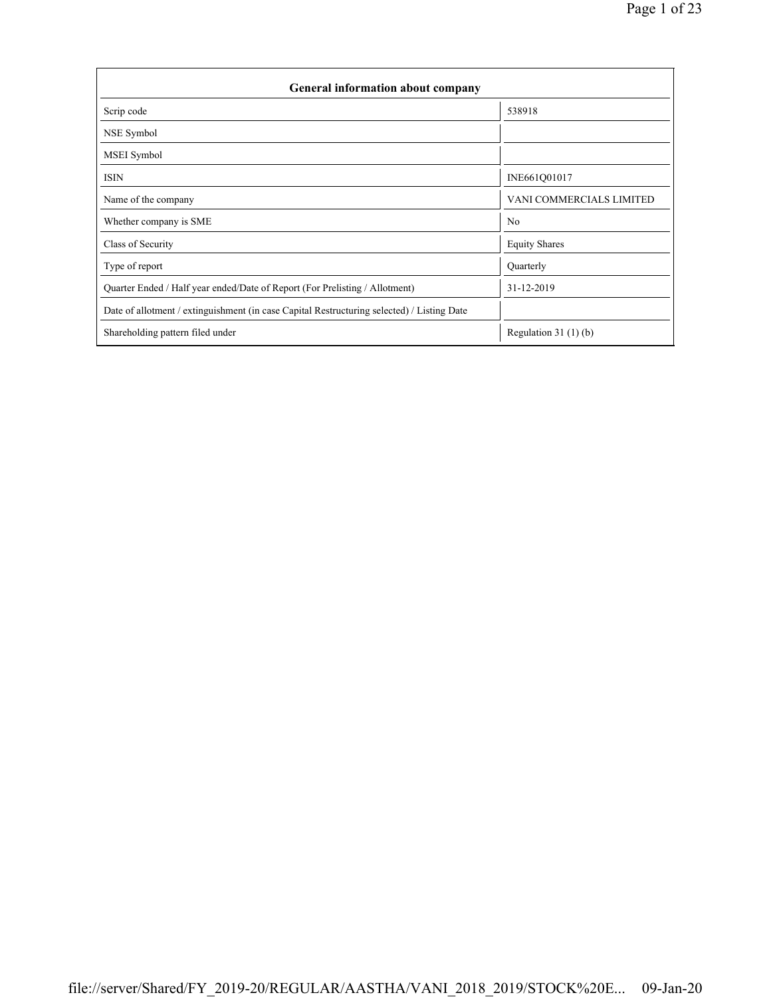| General information about company                                                          |                          |  |  |  |  |  |  |  |  |
|--------------------------------------------------------------------------------------------|--------------------------|--|--|--|--|--|--|--|--|
| Scrip code                                                                                 | 538918                   |  |  |  |  |  |  |  |  |
| NSE Symbol                                                                                 |                          |  |  |  |  |  |  |  |  |
| <b>MSEI</b> Symbol                                                                         |                          |  |  |  |  |  |  |  |  |
| <b>ISIN</b>                                                                                | INE661Q01017             |  |  |  |  |  |  |  |  |
| Name of the company                                                                        | VANI COMMERCIALS LIMITED |  |  |  |  |  |  |  |  |
| Whether company is SME                                                                     | N <sub>0</sub>           |  |  |  |  |  |  |  |  |
| Class of Security                                                                          | <b>Equity Shares</b>     |  |  |  |  |  |  |  |  |
| Type of report                                                                             | Quarterly                |  |  |  |  |  |  |  |  |
| Quarter Ended / Half year ended/Date of Report (For Prelisting / Allotment)                | 31-12-2019               |  |  |  |  |  |  |  |  |
| Date of allotment / extinguishment (in case Capital Restructuring selected) / Listing Date |                          |  |  |  |  |  |  |  |  |
| Shareholding pattern filed under                                                           | Regulation $31(1)(b)$    |  |  |  |  |  |  |  |  |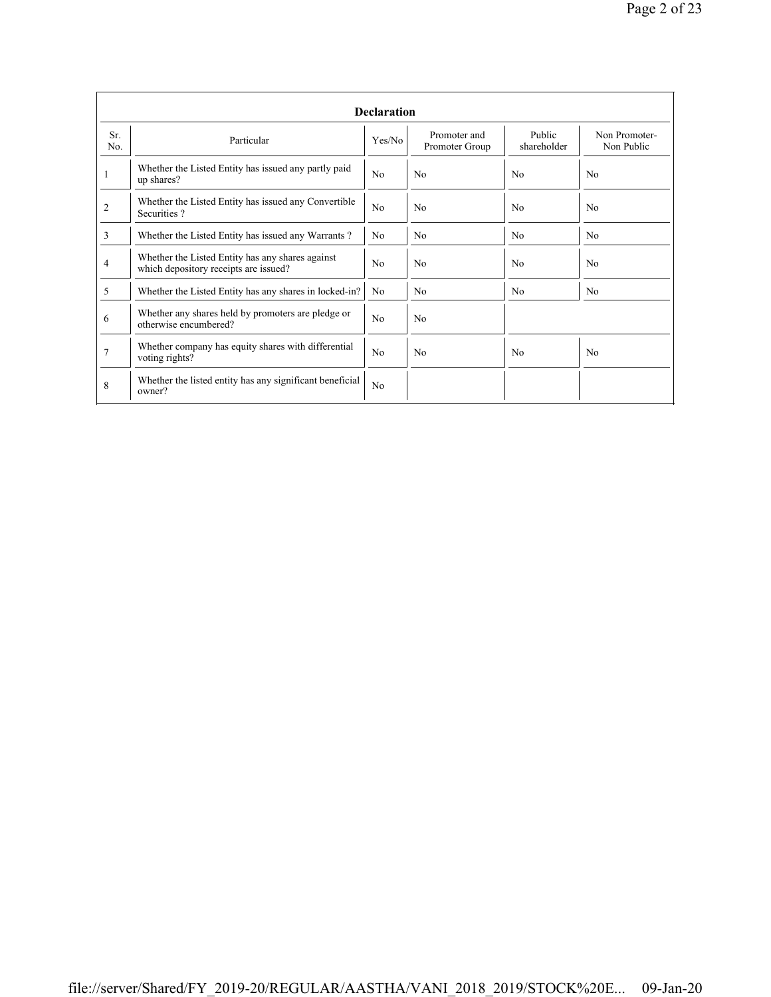|                | <b>Declaration</b>                                                                        |                |                                |                       |                             |  |  |  |  |  |  |  |
|----------------|-------------------------------------------------------------------------------------------|----------------|--------------------------------|-----------------------|-----------------------------|--|--|--|--|--|--|--|
| Sr.<br>No.     | Particular                                                                                | Yes/No         | Promoter and<br>Promoter Group | Public<br>shareholder | Non Promoter-<br>Non Public |  |  |  |  |  |  |  |
|                | Whether the Listed Entity has issued any partly paid<br>up shares?                        | N <sub>0</sub> | N <sub>0</sub>                 | No                    | N <sub>0</sub>              |  |  |  |  |  |  |  |
| $\overline{2}$ | Whether the Listed Entity has issued any Convertible<br>Securities?                       | N <sub>0</sub> | N <sub>o</sub>                 | No                    | No                          |  |  |  |  |  |  |  |
| 3              | Whether the Listed Entity has issued any Warrants?                                        | N <sub>0</sub> | N <sub>o</sub>                 | N <sub>0</sub>        | N <sub>0</sub>              |  |  |  |  |  |  |  |
| 4              | Whether the Listed Entity has any shares against<br>which depository receipts are issued? | N <sub>0</sub> | N <sub>0</sub>                 | N <sub>0</sub>        | N <sub>0</sub>              |  |  |  |  |  |  |  |
| 5              | Whether the Listed Entity has any shares in locked-in?                                    | N <sub>0</sub> | N <sub>0</sub>                 | No                    | N <sub>0</sub>              |  |  |  |  |  |  |  |
| 6              | Whether any shares held by promoters are pledge or<br>otherwise encumbered?               | N <sub>0</sub> | N <sub>o</sub>                 |                       |                             |  |  |  |  |  |  |  |
| 7              | Whether company has equity shares with differential<br>voting rights?                     | N <sub>0</sub> | N <sub>0</sub>                 | No                    | No                          |  |  |  |  |  |  |  |
| 8              | Whether the listed entity has any significant beneficial<br>owner?                        | N <sub>0</sub> |                                |                       |                             |  |  |  |  |  |  |  |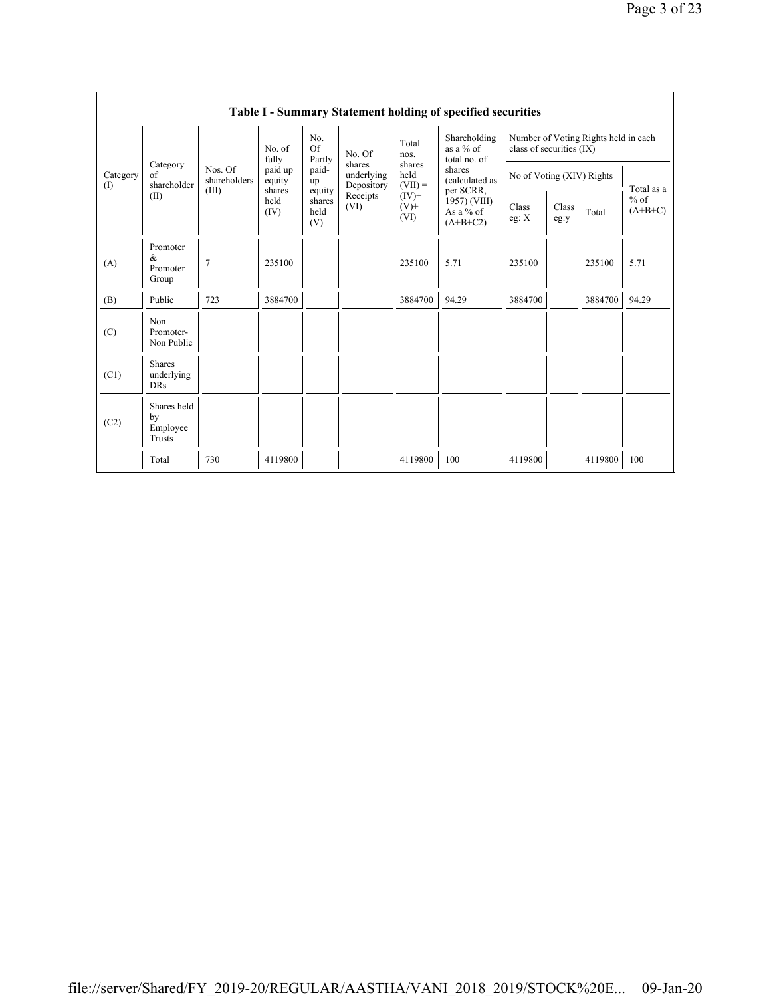|                 | Table I - Summary Statement holding of specified securities |                                  |                        |                                 |                                    |                                                                             |                                                        |                                                                  |               |         |                                   |  |  |  |
|-----------------|-------------------------------------------------------------|----------------------------------|------------------------|---------------------------------|------------------------------------|-----------------------------------------------------------------------------|--------------------------------------------------------|------------------------------------------------------------------|---------------|---------|-----------------------------------|--|--|--|
|                 |                                                             | Nos. Of<br>shareholders<br>(III) | No. of<br>fully        | No.<br>Of<br>Partly             | No. Of                             | Total<br>nos.<br>shares<br>held<br>$(VII) =$<br>$(IV)$ +<br>$(V)^+$<br>(VI) | Shareholding<br>as a $%$ of<br>total no. of            | Number of Voting Rights held in each<br>class of securities (IX) |               |         |                                   |  |  |  |
| Category<br>(1) | Category<br>of<br>shareholder                               |                                  | paid up<br>equity      | paid-<br>up                     | shares<br>underlying<br>Depository |                                                                             | shares<br>(calculated as                               | No of Voting (XIV) Rights                                        |               |         |                                   |  |  |  |
|                 | (II)                                                        |                                  | shares<br>held<br>(IV) | equity<br>shares<br>held<br>(V) | Receipts<br>(VI)                   |                                                                             | per SCRR,<br>1957) (VIII)<br>As a $%$ of<br>$(A+B+C2)$ | Class<br>eg: $X$                                                 | Class<br>eg:y | Total   | Total as a<br>$%$ of<br>$(A+B+C)$ |  |  |  |
| (A)             | Promoter<br>$\&$<br>Promoter<br>Group                       | $\overline{7}$                   | 235100                 |                                 |                                    | 235100                                                                      | 5.71                                                   | 235100                                                           |               | 235100  | 5.71                              |  |  |  |
| (B)             | Public                                                      | 723                              | 3884700                |                                 |                                    | 3884700                                                                     | 94.29                                                  | 3884700                                                          |               | 3884700 | 94.29                             |  |  |  |
| (C)             | Non<br>Promoter-<br>Non Public                              |                                  |                        |                                 |                                    |                                                                             |                                                        |                                                                  |               |         |                                   |  |  |  |
| (C1)            | <b>Shares</b><br>underlying<br><b>DRs</b>                   |                                  |                        |                                 |                                    |                                                                             |                                                        |                                                                  |               |         |                                   |  |  |  |
| (C2)            | Shares held<br>by<br>Employee<br>Trusts                     |                                  |                        |                                 |                                    |                                                                             |                                                        |                                                                  |               |         |                                   |  |  |  |
|                 | Total                                                       | 730                              | 4119800                |                                 |                                    | 4119800                                                                     | 100                                                    | 4119800                                                          |               | 4119800 | 100                               |  |  |  |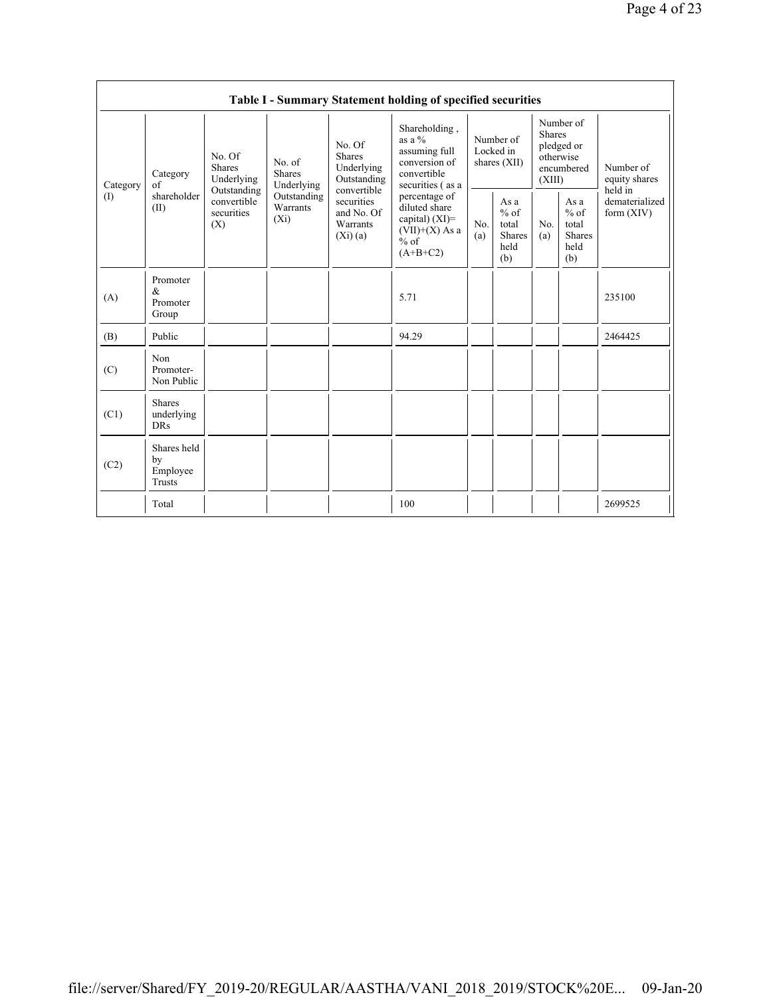| Table I - Summary Statement holding of specified securities |                                           |                                                                                   |                                                                             |                                                                                                                 |                                                                                                 |                                        |                                                         |                                                                               |                                                         |                                           |  |
|-------------------------------------------------------------|-------------------------------------------|-----------------------------------------------------------------------------------|-----------------------------------------------------------------------------|-----------------------------------------------------------------------------------------------------------------|-------------------------------------------------------------------------------------------------|----------------------------------------|---------------------------------------------------------|-------------------------------------------------------------------------------|---------------------------------------------------------|-------------------------------------------|--|
| Category<br>(                                               | Category<br>of<br>shareholder<br>(II)     | No. Of<br>Shares<br>Underlying<br>Outstanding<br>convertible<br>securities<br>(X) | No. of<br><b>Shares</b><br>Underlying<br>Outstanding<br>Warrants<br>$(X_i)$ | No. Of<br>Shares<br>Underlying<br>Outstanding<br>convertible<br>securities<br>and No. Of<br>Warrants<br>(Xi)(a) | Shareholding,<br>as a $\%$<br>assuming full<br>conversion of<br>convertible<br>securities (as a | Number of<br>Locked in<br>shares (XII) |                                                         | Number of<br><b>Shares</b><br>pledged or<br>otherwise<br>encumbered<br>(XIII) |                                                         | Number of<br>equity shares                |  |
|                                                             |                                           |                                                                                   |                                                                             |                                                                                                                 | percentage of<br>diluted share<br>capital) $(XI)$ =<br>$(VII)+(X)$ As a<br>$%$ of<br>$(A+B+C2)$ | No.<br>(a)                             | As a<br>$%$ of<br>total<br><b>Shares</b><br>held<br>(b) | No.<br>(a)                                                                    | As a<br>$%$ of<br>total<br><b>Shares</b><br>held<br>(b) | held in<br>dematerialized<br>form $(XIV)$ |  |
| (A)                                                         | Promoter<br>$\&$<br>Promoter<br>Group     |                                                                                   |                                                                             |                                                                                                                 | 5.71                                                                                            |                                        |                                                         |                                                                               |                                                         | 235100                                    |  |
| (B)                                                         | Public                                    |                                                                                   |                                                                             |                                                                                                                 | 94.29                                                                                           |                                        |                                                         |                                                                               |                                                         | 2464425                                   |  |
| (C)                                                         | Non<br>Promoter-<br>Non Public            |                                                                                   |                                                                             |                                                                                                                 |                                                                                                 |                                        |                                                         |                                                                               |                                                         |                                           |  |
| (C1)                                                        | <b>Shares</b><br>underlying<br><b>DRs</b> |                                                                                   |                                                                             |                                                                                                                 |                                                                                                 |                                        |                                                         |                                                                               |                                                         |                                           |  |
| (C2)                                                        | Shares held<br>by<br>Employee<br>Trusts   |                                                                                   |                                                                             |                                                                                                                 |                                                                                                 |                                        |                                                         |                                                                               |                                                         |                                           |  |
|                                                             | Total                                     |                                                                                   |                                                                             |                                                                                                                 | 100                                                                                             |                                        |                                                         |                                                                               |                                                         | 2699525                                   |  |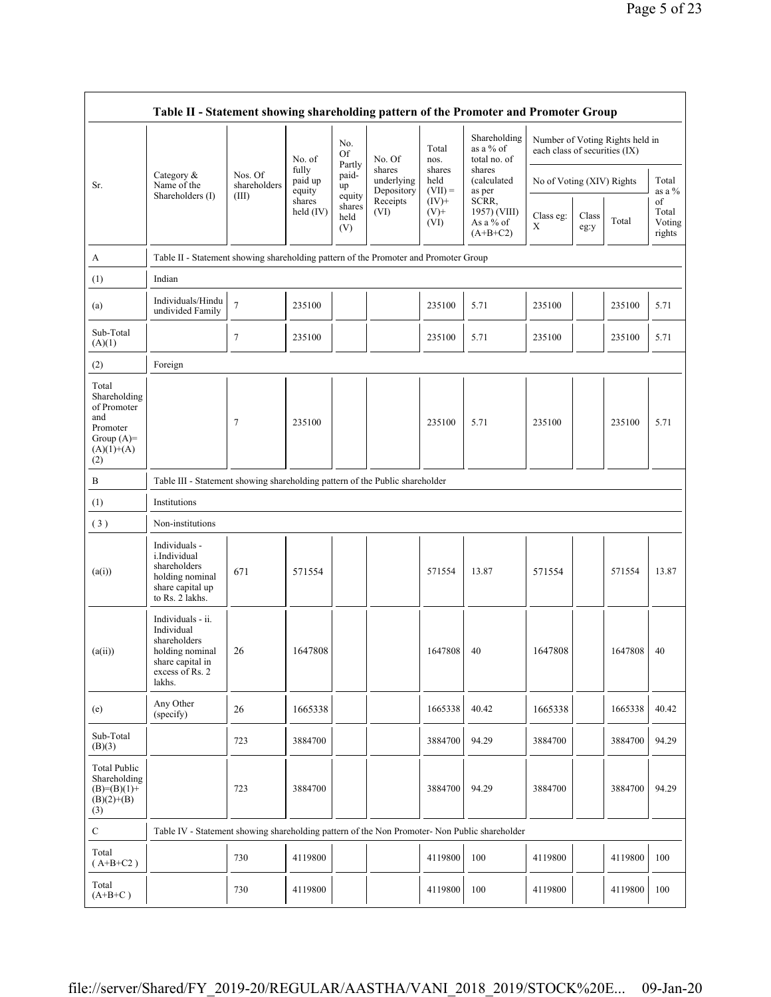| Table II - Statement showing shareholding pattern of the Promoter and Promoter Group           |                                                                                                                     |                         |                            |                                 |                                    |                             |                                                    |                           |                                                                  |         |                                 |  |
|------------------------------------------------------------------------------------------------|---------------------------------------------------------------------------------------------------------------------|-------------------------|----------------------------|---------------------------------|------------------------------------|-----------------------------|----------------------------------------------------|---------------------------|------------------------------------------------------------------|---------|---------------------------------|--|
|                                                                                                |                                                                                                                     |                         | No. of                     | No.<br>Of                       | No. Of                             | Total<br>nos.               | Shareholding<br>as a % of<br>total no. of          |                           | Number of Voting Rights held in<br>each class of securities (IX) |         |                                 |  |
| Sr.                                                                                            | Category &<br>Name of the                                                                                           | Nos. Of<br>shareholders | fully<br>paid up<br>equity | Partly<br>paid-<br>up           | shares<br>underlying<br>Depository | shares<br>held<br>$(VII) =$ | shares<br>(calculated<br>as per                    | No of Voting (XIV) Rights |                                                                  |         | Total<br>as a $\%$              |  |
|                                                                                                | Shareholders (I)                                                                                                    | (III)                   | shares<br>held $(IV)$      | equity<br>shares<br>held<br>(V) | Receipts<br>(VI)                   | $(IV)+$<br>$(V)^+$<br>(VI)  | SCRR,<br>1957) (VIII)<br>As a $%$ of<br>$(A+B+C2)$ | Class eg:<br>X            | Class<br>eg:y                                                    | Total   | of<br>Total<br>Voting<br>rights |  |
| A                                                                                              | Table II - Statement showing shareholding pattern of the Promoter and Promoter Group                                |                         |                            |                                 |                                    |                             |                                                    |                           |                                                                  |         |                                 |  |
| (1)                                                                                            | Indian                                                                                                              |                         |                            |                                 |                                    |                             |                                                    |                           |                                                                  |         |                                 |  |
| (a)                                                                                            | Individuals/Hindu<br>undivided Family                                                                               | $\tau$                  | 235100                     |                                 |                                    | 235100                      | 5.71                                               | 235100                    |                                                                  | 235100  | 5.71                            |  |
| Sub-Total<br>(A)(1)                                                                            |                                                                                                                     | 7                       | 235100                     |                                 |                                    | 235100                      | 5.71                                               | 235100                    |                                                                  | 235100  | 5.71                            |  |
| (2)                                                                                            | Foreign                                                                                                             |                         |                            |                                 |                                    |                             |                                                    |                           |                                                                  |         |                                 |  |
| Total<br>Shareholding<br>of Promoter<br>and<br>Promoter<br>Group $(A)=$<br>$(A)(1)+(A)$<br>(2) |                                                                                                                     | 7                       | 235100                     |                                 |                                    | 235100                      | 5.71                                               | 235100                    |                                                                  | 235100  | 5.71                            |  |
| B                                                                                              | Table III - Statement showing shareholding pattern of the Public shareholder                                        |                         |                            |                                 |                                    |                             |                                                    |                           |                                                                  |         |                                 |  |
| (1)                                                                                            | Institutions                                                                                                        |                         |                            |                                 |                                    |                             |                                                    |                           |                                                                  |         |                                 |  |
| (3)                                                                                            | Non-institutions                                                                                                    |                         |                            |                                 |                                    |                             |                                                    |                           |                                                                  |         |                                 |  |
| (a(i))                                                                                         | Individuals -<br>i.Individual<br>shareholders<br>holding nominal<br>share capital up<br>to Rs. 2 lakhs.             | 671                     | 571554                     |                                 |                                    | 571554                      | 13.87                                              | 571554                    |                                                                  | 571554  | 13.87                           |  |
| (a(ii))                                                                                        | Individuals - ii.<br>Individual<br>shareholders<br>holding nominal<br>share capital in<br>excess of Rs. 2<br>lakhs. | 26                      | 1647808                    |                                 |                                    | 1647808                     | 40                                                 | 1647808                   |                                                                  | 1647808 | 40                              |  |
| (e)                                                                                            | Any Other<br>(specify)                                                                                              | 26                      | 1665338                    |                                 |                                    | 1665338                     | 40.42                                              | 1665338                   |                                                                  | 1665338 | 40.42                           |  |
| Sub-Total<br>(B)(3)                                                                            |                                                                                                                     | 723                     | 3884700                    |                                 |                                    | 3884700                     | 94.29                                              | 3884700                   |                                                                  | 3884700 | 94.29                           |  |
| Total Public<br>Shareholding<br>$(B)=(B)(1)+$<br>$(B)(2)+(B)$<br>(3)                           |                                                                                                                     | 723                     | 3884700                    |                                 |                                    | 3884700                     | 94.29                                              | 3884700                   |                                                                  | 3884700 | 94.29                           |  |
| $\mathbf C$                                                                                    | Table IV - Statement showing shareholding pattern of the Non Promoter- Non Public shareholder                       |                         |                            |                                 |                                    |                             |                                                    |                           |                                                                  |         |                                 |  |
| Total<br>$(A+B+C2)$                                                                            |                                                                                                                     | 730                     | 4119800                    |                                 |                                    | 4119800                     | 100                                                | 4119800                   |                                                                  | 4119800 | 100                             |  |
| Total<br>$(A+B+C)$                                                                             |                                                                                                                     | 730                     | 4119800                    |                                 |                                    | 4119800                     | 100                                                | 4119800                   |                                                                  | 4119800 | 100                             |  |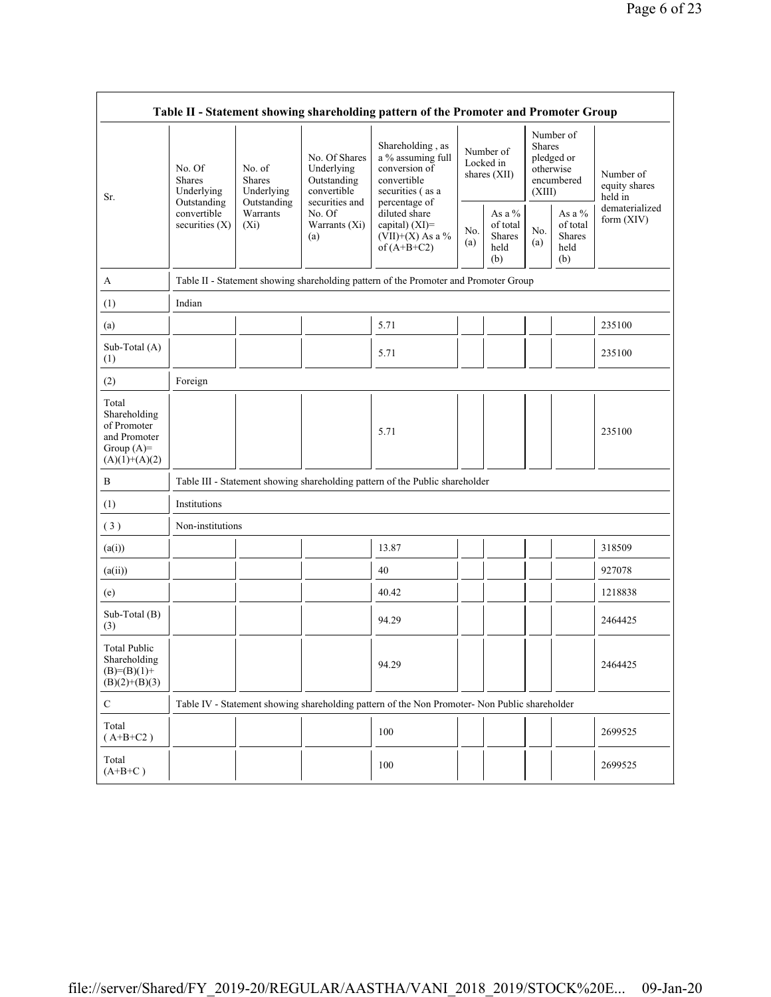| Table II - Statement showing shareholding pattern of the Promoter and Promoter Group    |                                                                                      |                                       |                                                           |                                                                                                            |                                          |                                                      |                         |                                                    |                                       |  |  |  |
|-----------------------------------------------------------------------------------------|--------------------------------------------------------------------------------------|---------------------------------------|-----------------------------------------------------------|------------------------------------------------------------------------------------------------------------|------------------------------------------|------------------------------------------------------|-------------------------|----------------------------------------------------|---------------------------------------|--|--|--|
| Sr.                                                                                     | No. Of<br><b>Shares</b><br>Underlying<br>Outstanding                                 | No. of<br><b>Shares</b><br>Underlying | No. Of Shares<br>Underlying<br>Outstanding<br>convertible | Shareholding, as<br>a % assuming full<br>conversion of<br>convertible<br>securities (as a<br>percentage of | Number of<br>Locked in<br>shares $(XII)$ |                                                      | <b>Shares</b><br>(XIII) | Number of<br>pledged or<br>otherwise<br>encumbered | Number of<br>equity shares<br>held in |  |  |  |
|                                                                                         | convertible<br>securities $(X)$                                                      | Outstanding<br>Warrants<br>$(X_i)$    | securities and<br>No. Of<br>Warrants (Xi)<br>(a)          | diluted share<br>capital) $(XI)$ =<br>$(VII)+(X)$ As a %<br>of $(A+B+C2)$                                  | No.<br>(a)                               | As a $%$<br>of total<br><b>Shares</b><br>held<br>(b) | No.<br>(a)              | As a %<br>of total<br><b>Shares</b><br>held<br>(b) | dematerialized<br>form (XIV)          |  |  |  |
| A                                                                                       | Table II - Statement showing shareholding pattern of the Promoter and Promoter Group |                                       |                                                           |                                                                                                            |                                          |                                                      |                         |                                                    |                                       |  |  |  |
| (1)                                                                                     | Indian                                                                               |                                       |                                                           |                                                                                                            |                                          |                                                      |                         |                                                    |                                       |  |  |  |
| (a)                                                                                     |                                                                                      |                                       |                                                           | 5.71                                                                                                       |                                          |                                                      |                         |                                                    | 235100                                |  |  |  |
| Sub-Total (A)<br>(1)                                                                    |                                                                                      |                                       |                                                           | 5.71                                                                                                       |                                          |                                                      |                         |                                                    | 235100                                |  |  |  |
| (2)                                                                                     | Foreign                                                                              |                                       |                                                           |                                                                                                            |                                          |                                                      |                         |                                                    |                                       |  |  |  |
| Total<br>Shareholding<br>of Promoter<br>and Promoter<br>Group $(A)=$<br>$(A)(1)+(A)(2)$ |                                                                                      |                                       |                                                           | 5.71                                                                                                       |                                          |                                                      |                         |                                                    | 235100                                |  |  |  |
| B                                                                                       |                                                                                      |                                       |                                                           | Table III - Statement showing shareholding pattern of the Public shareholder                               |                                          |                                                      |                         |                                                    |                                       |  |  |  |
| (1)                                                                                     | Institutions                                                                         |                                       |                                                           |                                                                                                            |                                          |                                                      |                         |                                                    |                                       |  |  |  |
| (3)                                                                                     | Non-institutions                                                                     |                                       |                                                           |                                                                                                            |                                          |                                                      |                         |                                                    |                                       |  |  |  |
| (a(i))                                                                                  |                                                                                      |                                       |                                                           | 13.87                                                                                                      |                                          |                                                      |                         |                                                    | 318509                                |  |  |  |
| (a(ii))                                                                                 |                                                                                      |                                       |                                                           | 40                                                                                                         |                                          |                                                      |                         |                                                    | 927078                                |  |  |  |
| (e)                                                                                     |                                                                                      |                                       |                                                           | 40.42                                                                                                      |                                          |                                                      |                         |                                                    | 1218838                               |  |  |  |
| Sub-Total (B)<br>(3)                                                                    |                                                                                      |                                       |                                                           | 94.29                                                                                                      |                                          |                                                      |                         |                                                    | 2464425                               |  |  |  |
| <b>Total Public</b><br>Shareholding<br>$(B)=(B)(1)+$<br>$(B)(2)+(B)(3)$                 |                                                                                      |                                       |                                                           | 94.29                                                                                                      |                                          |                                                      |                         |                                                    | 2464425                               |  |  |  |
| $\mathcal{C}$                                                                           |                                                                                      |                                       |                                                           | Table IV - Statement showing shareholding pattern of the Non Promoter- Non Public shareholder              |                                          |                                                      |                         |                                                    |                                       |  |  |  |
| Total<br>$(A+B+C2)$                                                                     |                                                                                      |                                       |                                                           | 100                                                                                                        |                                          |                                                      |                         |                                                    | 2699525                               |  |  |  |
| Total<br>$(A+B+C)$                                                                      |                                                                                      |                                       |                                                           | 100                                                                                                        |                                          |                                                      |                         |                                                    | 2699525                               |  |  |  |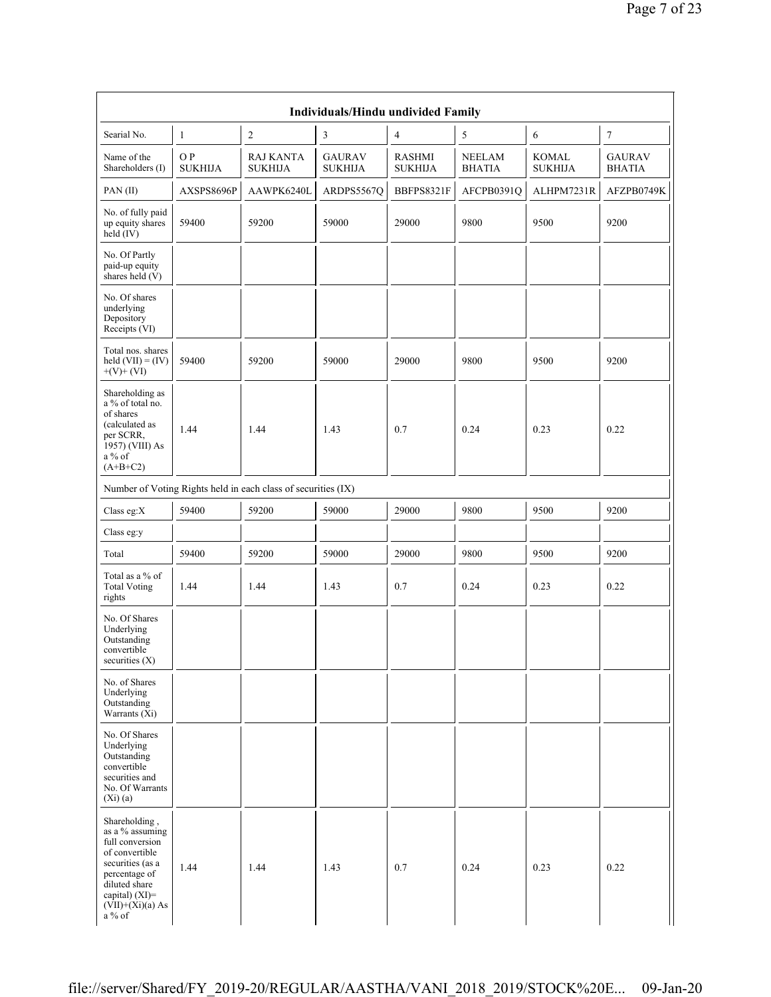|                                                                                                                                                                                    |                       |                                                               | <b>Individuals/Hindu undivided Family</b> |                          |                         |                                |                                |
|------------------------------------------------------------------------------------------------------------------------------------------------------------------------------------|-----------------------|---------------------------------------------------------------|-------------------------------------------|--------------------------|-------------------------|--------------------------------|--------------------------------|
| Searial No.                                                                                                                                                                        | $\mathbf{1}$          | $\overline{c}$                                                | 3                                         | $\overline{4}$           | 5                       | 6                              | $\tau$                         |
| Name of the<br>Shareholders (I)                                                                                                                                                    | O P<br><b>SUKHIJA</b> | <b>RAJ KANTA</b><br><b>SUKHIJA</b>                            | <b>GAURAV</b><br><b>SUKHIJA</b>           | RASHMI<br><b>SUKHIJA</b> | NEELAM<br><b>BHATIA</b> | <b>KOMAL</b><br><b>SUKHIJA</b> | <b>GAURAV</b><br><b>BHATIA</b> |
| PAN(II)                                                                                                                                                                            | AXSPS8696P            | AAWPK6240L                                                    | ARDPS5567Q                                | BBFPS8321F               | AFCPB0391Q              | ALHPM7231R                     | AFZPB0749K                     |
| No. of fully paid<br>up equity shares<br>held $(IV)$                                                                                                                               | 59400                 | 59200                                                         | 59000                                     | 29000                    | 9800                    | 9500                           | 9200                           |
| No. Of Partly<br>paid-up equity<br>shares held $(V)$                                                                                                                               |                       |                                                               |                                           |                          |                         |                                |                                |
| No. Of shares<br>underlying<br>Depository<br>Receipts (VI)                                                                                                                         |                       |                                                               |                                           |                          |                         |                                |                                |
| Total nos. shares<br>held $(VII) = (IV)$<br>$+(V)+(VI)$                                                                                                                            | 59400                 | 59200                                                         | 59000                                     | 29000                    | 9800                    | 9500                           | 9200                           |
| Shareholding as<br>a % of total no.<br>of shares<br>(calculated as<br>per SCRR,<br>1957) (VIII) As<br>$a\%$ of<br>$(A+B+C2)$                                                       | 1.44                  | 1.44                                                          | 1.43                                      | 0.7                      | 0.24                    | 0.23                           | 0.22                           |
|                                                                                                                                                                                    |                       | Number of Voting Rights held in each class of securities (IX) |                                           |                          |                         |                                |                                |
| Class eg:X                                                                                                                                                                         | 59400                 | 59200                                                         | 59000                                     | 29000                    | 9800                    | 9500                           | 9200                           |
| Class eg:y                                                                                                                                                                         |                       |                                                               |                                           |                          |                         |                                |                                |
| Total                                                                                                                                                                              | 59400                 | 59200                                                         | 59000                                     | 29000                    | 9800                    | 9500                           | 9200                           |
| Total as a % of<br><b>Total Voting</b><br>rights                                                                                                                                   | 1.44                  | 1.44                                                          | 1.43                                      | 0.7                      | 0.24                    | 0.23                           | 0.22                           |
| No. Of Shares<br>Underlying<br>Outstanding<br>convertible<br>securities $(X)$                                                                                                      |                       |                                                               |                                           |                          |                         |                                |                                |
| No. of Shares<br>Underlying<br>Outstanding<br>Warrants $(X_i)$                                                                                                                     |                       |                                                               |                                           |                          |                         |                                |                                |
| No. Of Shares<br>Underlying<br>Outstanding<br>convertible<br>securities and<br>No. Of Warrants<br>(Xi)(a)                                                                          |                       |                                                               |                                           |                          |                         |                                |                                |
| Shareholding,<br>as a % assuming<br>full conversion<br>of convertible<br>securities (as a<br>percentage of<br>diluted share<br>capital) $(XI)$ =<br>$(VII)+(Xi)(a) As$<br>$a\%$ of | 1.44                  | 1.44                                                          | 1.43                                      | 0.7                      | 0.24                    | 0.23                           | 0.22                           |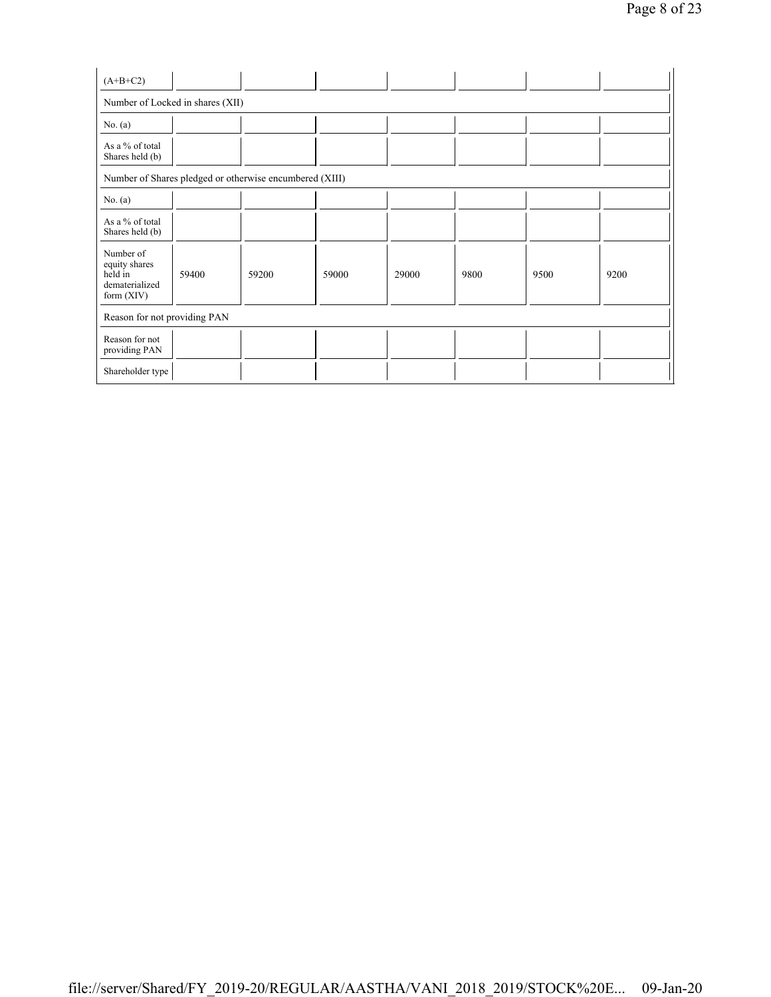| $(A+B+C2)$                                                              |       |       |       |       |      |      |      |  |  |  |  |
|-------------------------------------------------------------------------|-------|-------|-------|-------|------|------|------|--|--|--|--|
| Number of Locked in shares (XII)                                        |       |       |       |       |      |      |      |  |  |  |  |
| No. $(a)$                                                               |       |       |       |       |      |      |      |  |  |  |  |
| As a % of total<br>Shares held (b)                                      |       |       |       |       |      |      |      |  |  |  |  |
| Number of Shares pledged or otherwise encumbered (XIII)                 |       |       |       |       |      |      |      |  |  |  |  |
| No. $(a)$                                                               |       |       |       |       |      |      |      |  |  |  |  |
| As a % of total<br>Shares held (b)                                      |       |       |       |       |      |      |      |  |  |  |  |
| Number of<br>equity shares<br>held in<br>dematerialized<br>form $(XIV)$ | 59400 | 59200 | 59000 | 29000 | 9800 | 9500 | 9200 |  |  |  |  |
| Reason for not providing PAN                                            |       |       |       |       |      |      |      |  |  |  |  |
| Reason for not<br>providing PAN                                         |       |       |       |       |      |      |      |  |  |  |  |
| Shareholder type                                                        |       |       |       |       |      |      |      |  |  |  |  |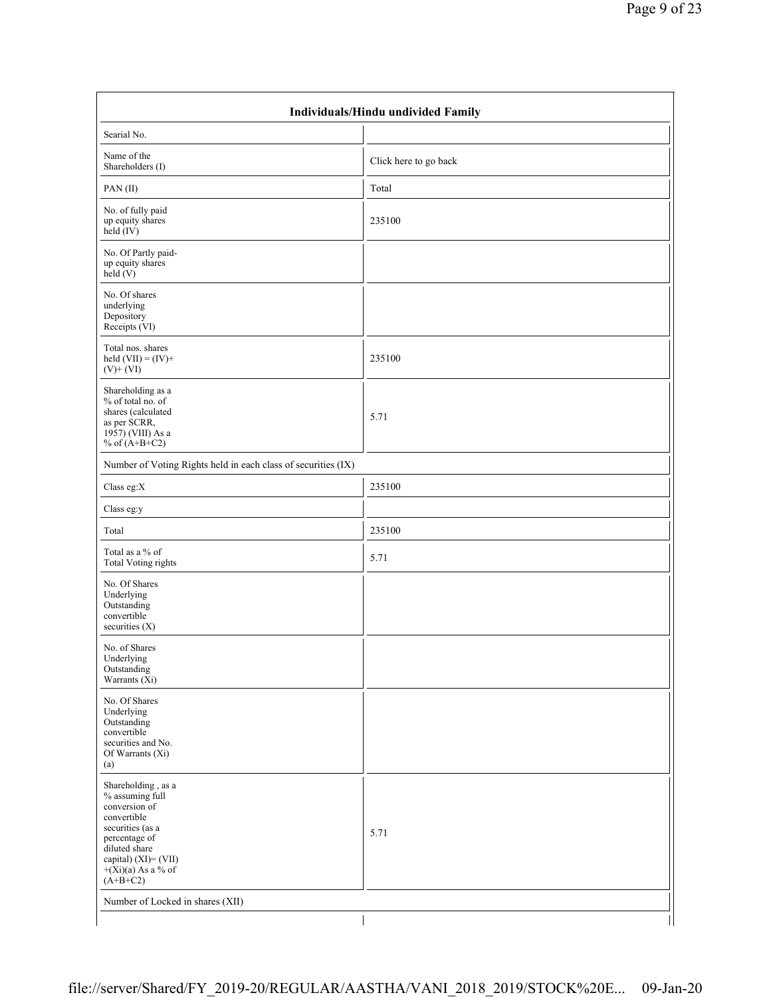| Searial No.                                                                                                                                                                               |                       |  |
|-------------------------------------------------------------------------------------------------------------------------------------------------------------------------------------------|-----------------------|--|
| Name of the<br>Shareholders (I)                                                                                                                                                           | Click here to go back |  |
| PAN(II)                                                                                                                                                                                   | Total                 |  |
| No. of fully paid<br>up equity shares<br>held $(IV)$                                                                                                                                      | 235100                |  |
| No. Of Partly paid-<br>up equity shares<br>held $(V)$                                                                                                                                     |                       |  |
| No. Of shares<br>underlying<br>Depository<br>Receipts (VI)                                                                                                                                |                       |  |
| Total nos. shares<br>held $(VII) = (IV) +$<br>$(V)$ + $(V)$                                                                                                                               | 235100                |  |
| Shareholding as a<br>% of total no. of<br>shares (calculated<br>as per SCRR,<br>$19\overline{57}$ ) (VIII) As a<br>% of $(A+B+C2)$                                                        | 5.71                  |  |
| Number of Voting Rights held in each class of securities (IX)                                                                                                                             |                       |  |
| Class eg: $X$                                                                                                                                                                             | 235100                |  |
| Class eg:y                                                                                                                                                                                |                       |  |
| Total                                                                                                                                                                                     | 235100                |  |
| Total as a % of<br>Total Voting rights                                                                                                                                                    | 5.71                  |  |
| No. Of Shares<br>Underlying<br>Outstanding<br>convertible<br>securities (X)                                                                                                               |                       |  |
| No. of Shares<br>Underlying<br>Outstanding<br>Warrants $(X_i)$                                                                                                                            |                       |  |
| No. Of Shares<br>Underlying<br>Outstanding<br>convertible<br>securities and No.<br>Of Warrants (Xi)<br>(a)                                                                                |                       |  |
| Shareholding, as a<br>% assuming full<br>conversion of<br>convertible<br>securities (as a<br>percentage of<br>diluted share<br>capital) (XI)= (VII)<br>$+(Xi)(a)$ As a % of<br>$(A+B+C2)$ | 5.71                  |  |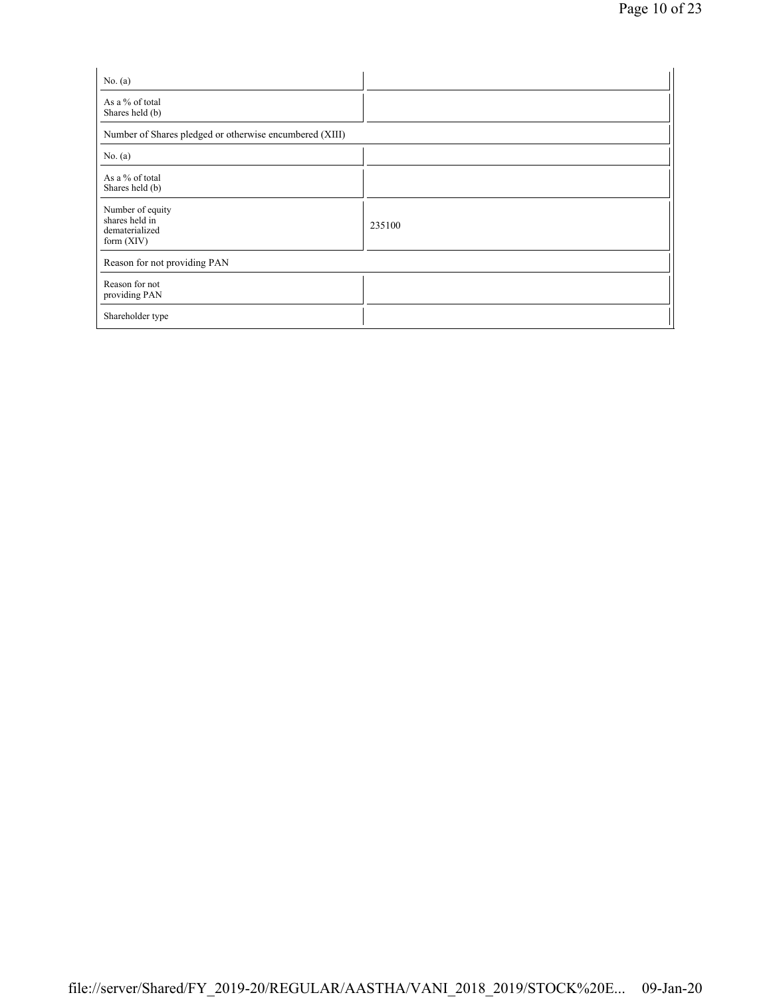| No. $(a)$                                                            |        |
|----------------------------------------------------------------------|--------|
| As a % of total<br>Shares held (b)                                   |        |
| Number of Shares pledged or otherwise encumbered (XIII)              |        |
| No. $(a)$                                                            |        |
| As a % of total<br>Shares held (b)                                   |        |
| Number of equity<br>shares held in<br>dematerialized<br>form $(XIV)$ | 235100 |
| Reason for not providing PAN                                         |        |
| Reason for not<br>providing PAN                                      |        |
| Shareholder type                                                     |        |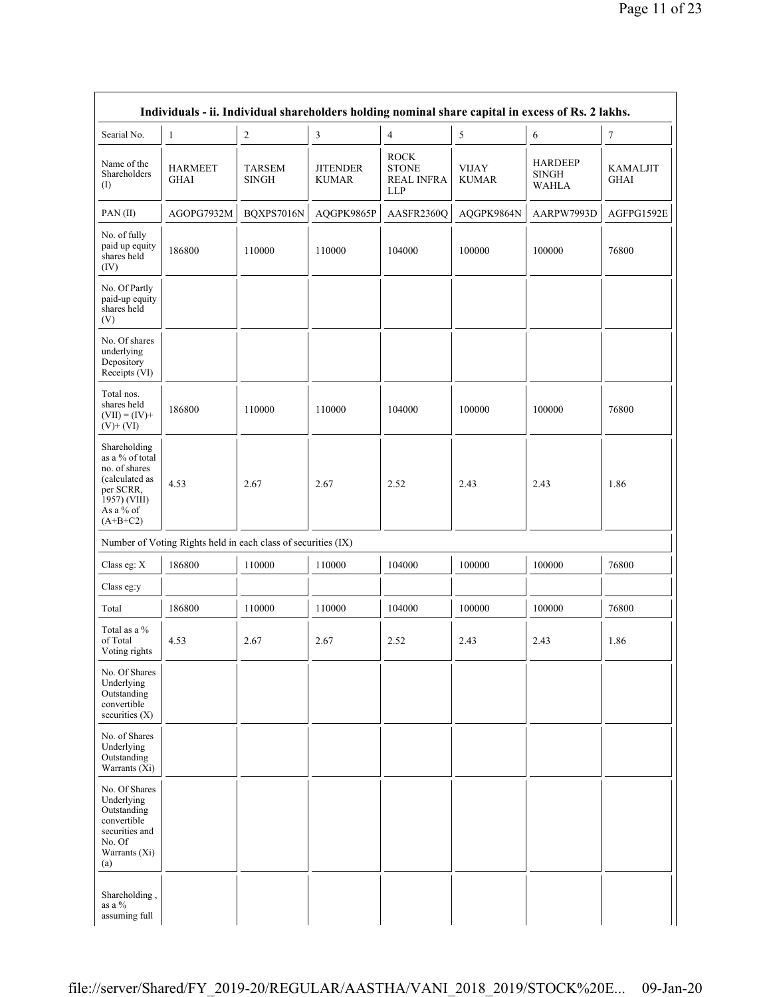| Searial No.                                                                                                                | $\mathbf{1}$                                                  | $\sqrt{2}$                    | 3                               | $\overline{4}$                                                 | $\sqrt{5}$                   | $\sqrt{6}$                                     | 7                              |
|----------------------------------------------------------------------------------------------------------------------------|---------------------------------------------------------------|-------------------------------|---------------------------------|----------------------------------------------------------------|------------------------------|------------------------------------------------|--------------------------------|
| Name of the<br>Shareholders<br>(1)                                                                                         | <b>HARMEET</b><br><b>GHAI</b>                                 | <b>TARSEM</b><br><b>SINGH</b> | <b>JITENDER</b><br><b>KUMAR</b> | <b>ROCK</b><br><b>STONE</b><br><b>REAL INFRA</b><br><b>LLP</b> | <b>VIJAY</b><br><b>KUMAR</b> | <b>HARDEEP</b><br><b>SINGH</b><br><b>WAHLA</b> | <b>KAMALJIT</b><br><b>GHAI</b> |
| PAN(II)                                                                                                                    | AGOPG7932M                                                    | BQXPS7016N                    | AQGPK9865P                      | AASFR2360Q                                                     | AQGPK9864N                   | AARPW7993D                                     | AGFPG1592E                     |
| No. of fully<br>paid up equity<br>shares held<br>(IV)                                                                      | 186800                                                        | 110000                        | 110000                          | 104000                                                         | 100000                       | 100000                                         | 76800                          |
| No. Of Partly<br>paid-up equity<br>shares held<br>(V)                                                                      |                                                               |                               |                                 |                                                                |                              |                                                |                                |
| No. Of shares<br>underlying<br>Depository<br>Receipts (VI)                                                                 |                                                               |                               |                                 |                                                                |                              |                                                |                                |
| Total nos.<br>shares held<br>$(VII) = (IV) +$<br>$(V)+(VI)$                                                                | 186800                                                        | 110000                        | 110000                          | 104000                                                         | 100000                       | 100000                                         | 76800                          |
| Shareholding<br>as a % of total<br>no. of shares<br>(calculated as<br>per SCRR,<br>1957) (VIII)<br>As a % of<br>$(A+B+C2)$ | 4.53                                                          | 2.67                          | 2.67                            | 2.52                                                           | 2.43                         | 2.43                                           | 1.86                           |
|                                                                                                                            | Number of Voting Rights held in each class of securities (IX) |                               |                                 |                                                                |                              |                                                |                                |
| Class eg: X                                                                                                                | 186800                                                        | 110000                        | 110000                          | 104000                                                         | 100000                       | 100000                                         | 76800                          |
| Class eg:y                                                                                                                 |                                                               |                               |                                 |                                                                |                              |                                                |                                |
| Total                                                                                                                      | 186800                                                        | 110000                        | 110000                          | 104000                                                         | 100000                       | 100000                                         | 76800                          |
| Total as a %<br>of Total<br>Voting rights                                                                                  | 4.53                                                          | 2.67                          | 2.67                            | 2.52                                                           | 2.43                         | 2.43                                           | 1.86                           |
| No. Of Shares<br>Underlying<br>Outstanding<br>convertible<br>securities $(X)$                                              |                                                               |                               |                                 |                                                                |                              |                                                |                                |
| No. of Shares<br>Underlying<br>Outstanding<br>Warrants $(X_i)$                                                             |                                                               |                               |                                 |                                                                |                              |                                                |                                |
| No. Of Shares<br>Underlying<br>Outstanding<br>convertible<br>securities and<br>No. Of<br>Warrants (Xi)<br>(a)              |                                                               |                               |                                 |                                                                |                              |                                                |                                |
| Shareholding,<br>as a %<br>assuming full                                                                                   |                                                               |                               |                                 |                                                                |                              |                                                |                                |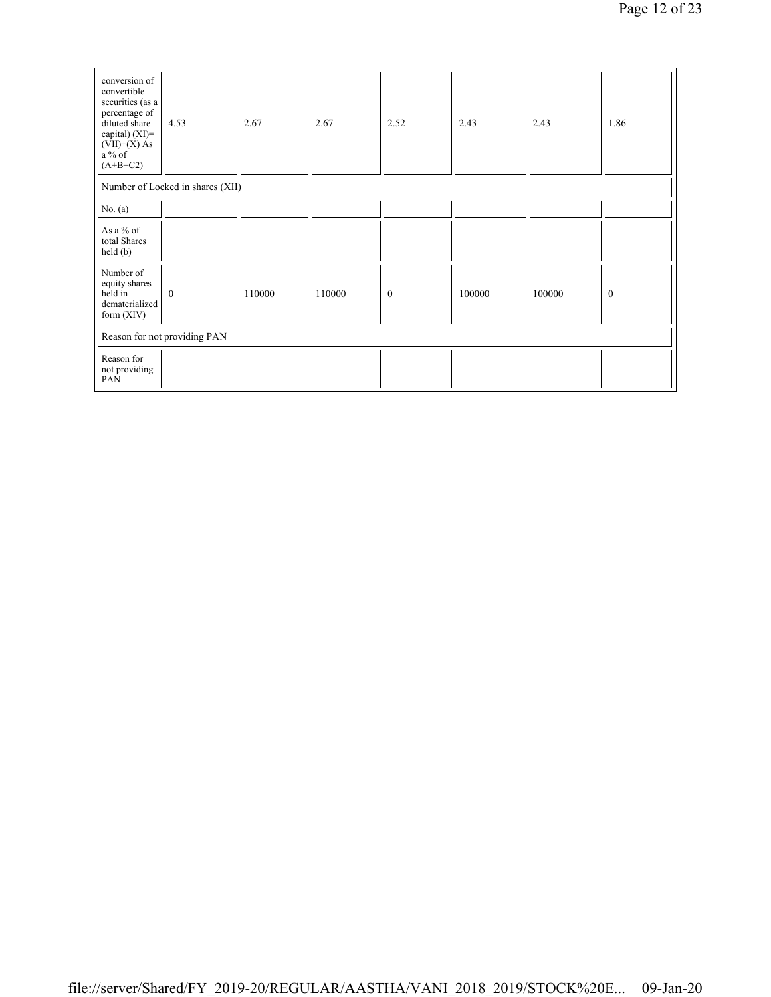| conversion of<br>convertible<br>securities (as a<br>percentage of<br>diluted share<br>capital) $(XI)$ =<br>$(VII)+(X)$ As<br>$a\%$ of<br>$(A+B+C2)$ | 4.53         | 2.67   | 2.67   | 2.52         | 2.43   | 2.43   | 1.86     |  |  |  |
|-----------------------------------------------------------------------------------------------------------------------------------------------------|--------------|--------|--------|--------------|--------|--------|----------|--|--|--|
| Number of Locked in shares (XII)                                                                                                                    |              |        |        |              |        |        |          |  |  |  |
| No. $(a)$                                                                                                                                           |              |        |        |              |        |        |          |  |  |  |
| As a % of<br>total Shares<br>held(b)                                                                                                                |              |        |        |              |        |        |          |  |  |  |
| Number of<br>equity shares<br>held in<br>dematerialized<br>form $(XIV)$                                                                             | $\mathbf{0}$ | 110000 | 110000 | $\mathbf{0}$ | 100000 | 100000 | $\bf{0}$ |  |  |  |
| Reason for not providing PAN                                                                                                                        |              |        |        |              |        |        |          |  |  |  |
| Reason for<br>not providing<br>PAN                                                                                                                  |              |        |        |              |        |        |          |  |  |  |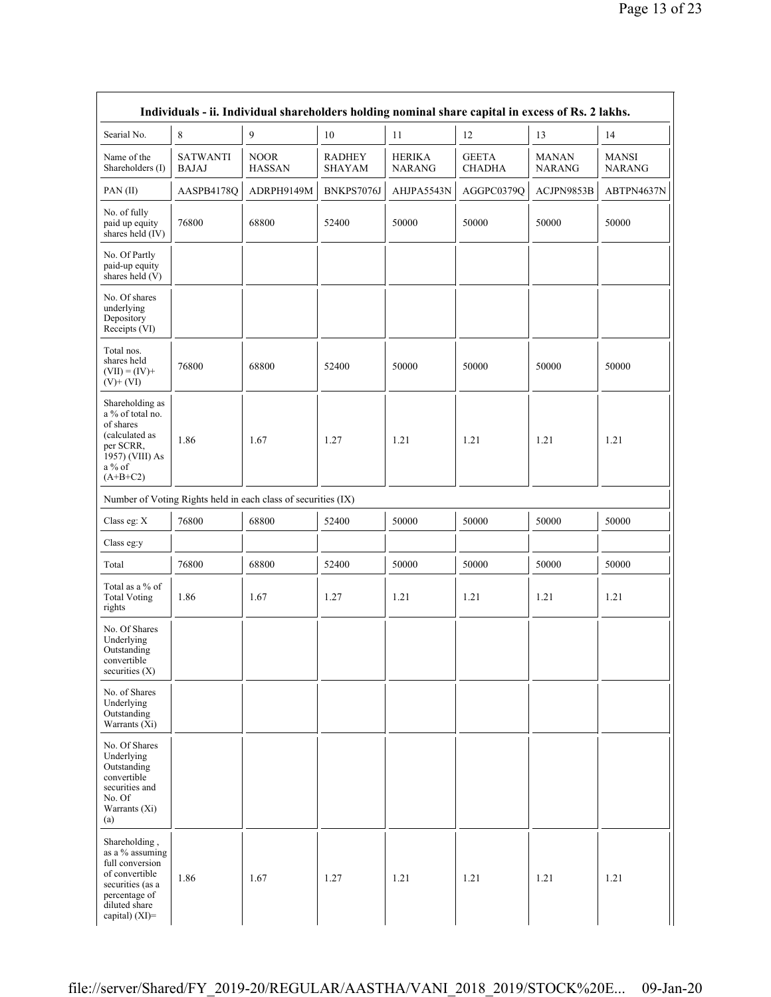|                                                                                                                                               | Individuals - ii. Individual shareholders holding nominal share capital in excess of Rs. 2 lakhs. |                                                               |                                |                                |                               |                               |                               |
|-----------------------------------------------------------------------------------------------------------------------------------------------|---------------------------------------------------------------------------------------------------|---------------------------------------------------------------|--------------------------------|--------------------------------|-------------------------------|-------------------------------|-------------------------------|
| Searial No.                                                                                                                                   | 8                                                                                                 | 9                                                             | 10                             | 11                             | 12                            | 13                            | 14                            |
| Name of the<br>Shareholders (I)                                                                                                               | <b>SATWANTI</b><br><b>BAJAJ</b>                                                                   | <b>NOOR</b><br><b>HASSAN</b>                                  | <b>RADHEY</b><br><b>SHAYAM</b> | <b>HERIKA</b><br><b>NARANG</b> | <b>GEETA</b><br><b>CHADHA</b> | <b>MANAN</b><br><b>NARANG</b> | <b>MANSI</b><br><b>NARANG</b> |
| PAN(II)                                                                                                                                       | AASPB4178Q                                                                                        | ADRPH9149M                                                    | BNKPS7076J                     | AHJPA5543N                     | AGGPC0379Q                    | ACJPN9853B                    | ABTPN4637N                    |
| No. of fully<br>paid up equity<br>shares held (IV)                                                                                            | 76800                                                                                             | 68800                                                         | 52400                          | 50000                          | 50000                         | 50000                         | 50000                         |
| No. Of Partly<br>paid-up equity<br>shares held (V)                                                                                            |                                                                                                   |                                                               |                                |                                |                               |                               |                               |
| No. Of shares<br>underlying<br>Depository<br>Receipts (VI)                                                                                    |                                                                                                   |                                                               |                                |                                |                               |                               |                               |
| Total nos.<br>shares held<br>$(VII) = (IV) +$<br>$(V)$ + $(VI)$                                                                               | 76800                                                                                             | 68800                                                         | 52400                          | 50000                          | 50000                         | 50000                         | 50000                         |
| Shareholding as<br>a % of total no.<br>of shares<br>(calculated as<br>per SCRR,<br>1957) (VIII) As<br>$a\%$ of<br>$(A+B+C2)$                  | 1.86                                                                                              | 1.67                                                          | 1.27                           | 1.21                           | 1.21                          | 1.21                          | 1.21                          |
|                                                                                                                                               |                                                                                                   | Number of Voting Rights held in each class of securities (IX) |                                |                                |                               |                               |                               |
| Class eg: X                                                                                                                                   | 76800                                                                                             | 68800                                                         | 52400                          | 50000                          | 50000                         | 50000                         | 50000                         |
| Class eg:y                                                                                                                                    |                                                                                                   |                                                               |                                |                                |                               |                               |                               |
| Total                                                                                                                                         | 76800                                                                                             | 68800                                                         | 52400                          | 50000                          | 50000                         | 50000                         | 50000                         |
| Total as a $\%$ of<br><b>Total Voting</b><br>rights                                                                                           | 1.86                                                                                              | 1.67                                                          | 1.27                           | 1.21                           | 1.21                          | 1.21                          | 1.21                          |
| No. Of Shares<br>Underlying<br>Outstanding<br>convertible<br>securities $(X)$                                                                 |                                                                                                   |                                                               |                                |                                |                               |                               |                               |
| No. of Shares<br>Underlying<br>Outstanding<br>Warrants $(X_i)$                                                                                |                                                                                                   |                                                               |                                |                                |                               |                               |                               |
| No. Of Shares<br>Underlying<br>Outstanding<br>convertible<br>securities and<br>No. Of<br>Warrants (Xi)<br>(a)                                 |                                                                                                   |                                                               |                                |                                |                               |                               |                               |
| Shareholding,<br>as a % assuming<br>full conversion<br>of convertible<br>securities (as a<br>percentage of<br>diluted share<br>capital) (XI)= | 1.86                                                                                              | 1.67                                                          | 1.27                           | 1.21                           | 1.21                          | 1.21                          | 1.21                          |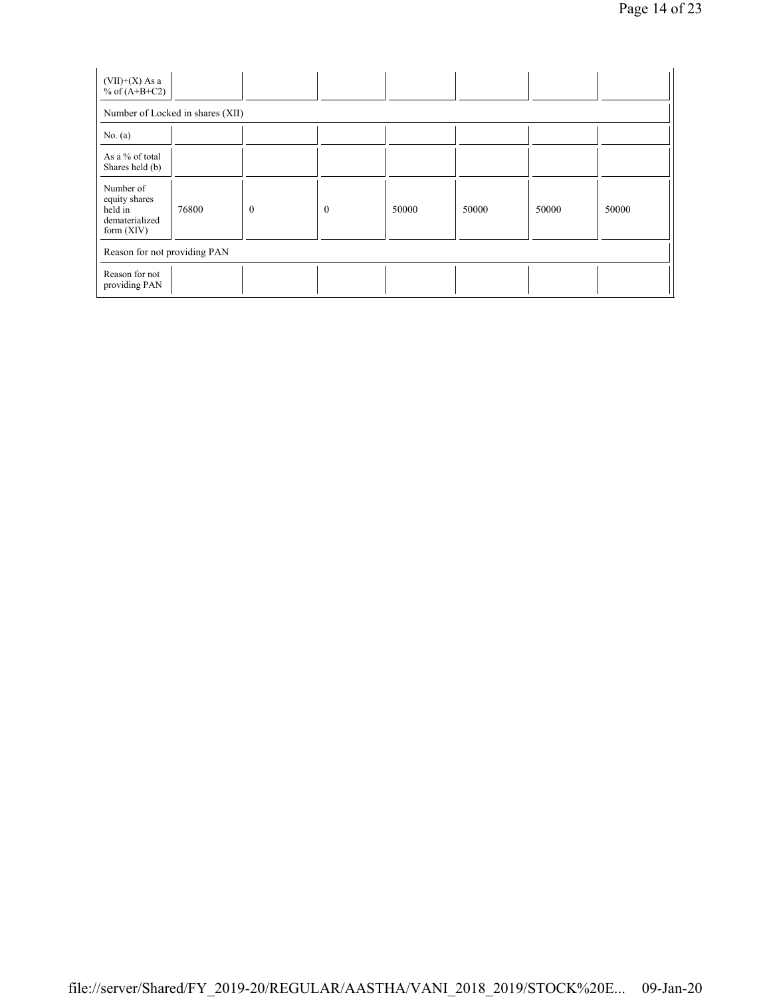| $(VII)+(X)$ As a<br>% of $(A+B+C2)$                                     |                                  |              |              |       |       |       |       |
|-------------------------------------------------------------------------|----------------------------------|--------------|--------------|-------|-------|-------|-------|
|                                                                         | Number of Locked in shares (XII) |              |              |       |       |       |       |
| No. $(a)$                                                               |                                  |              |              |       |       |       |       |
| As a % of total<br>Shares held (b)                                      |                                  |              |              |       |       |       |       |
| Number of<br>equity shares<br>held in<br>dematerialized<br>form $(XIV)$ | 76800                            | $\mathbf{0}$ | $\mathbf{0}$ | 50000 | 50000 | 50000 | 50000 |
| Reason for not providing PAN                                            |                                  |              |              |       |       |       |       |
| Reason for not<br>providing PAN                                         |                                  |              |              |       |       |       |       |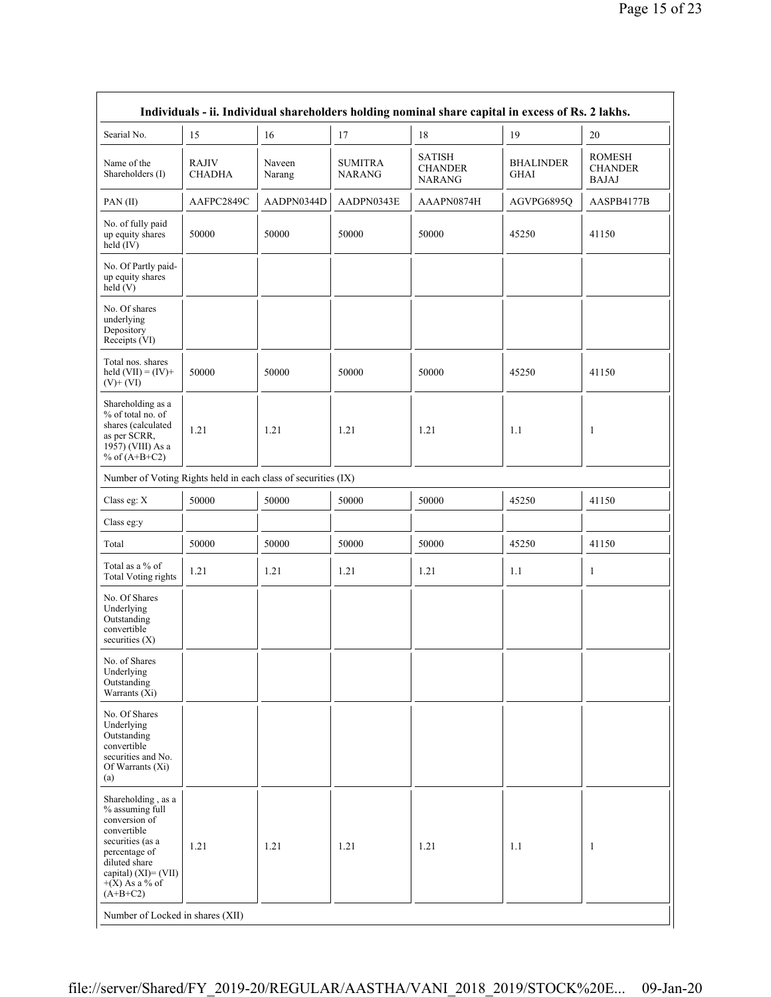|                                                                                                                                                                                                                              |                               |                  |                                 | Individuals - ii. Individual shareholders holding nominal share capital in excess of Rs. 2 lakhs. |                                 |                                                 |
|------------------------------------------------------------------------------------------------------------------------------------------------------------------------------------------------------------------------------|-------------------------------|------------------|---------------------------------|---------------------------------------------------------------------------------------------------|---------------------------------|-------------------------------------------------|
| Searial No.                                                                                                                                                                                                                  | 15                            | 16               | 17                              | 18                                                                                                | 19                              | 20                                              |
| Name of the<br>Shareholders (I)                                                                                                                                                                                              | <b>RAJIV</b><br><b>CHADHA</b> | Naveen<br>Narang | <b>SUMITRA</b><br><b>NARANG</b> | <b>SATISH</b><br><b>CHANDER</b><br><b>NARANG</b>                                                  | <b>BHALINDER</b><br><b>GHAI</b> | <b>ROMESH</b><br><b>CHANDER</b><br><b>BAJAJ</b> |
| PAN(II)                                                                                                                                                                                                                      | AAFPC2849C                    | AADPN0344D       | AADPN0343E                      | AAAPN0874H                                                                                        | AGVPG6895Q                      | AASPB4177B                                      |
| No. of fully paid<br>up equity shares<br>held $(IV)$                                                                                                                                                                         | 50000                         | 50000            | 50000                           | 50000                                                                                             | 45250                           | 41150                                           |
| No. Of Partly paid-<br>up equity shares<br>$\text{held}(V)$                                                                                                                                                                  |                               |                  |                                 |                                                                                                   |                                 |                                                 |
| No. Of shares<br>underlying<br>Depository<br>Receipts (VI)                                                                                                                                                                   |                               |                  |                                 |                                                                                                   |                                 |                                                 |
| Total nos. shares<br>held $(VII) = (IV) +$<br>$(V)$ + $(VI)$                                                                                                                                                                 | 50000                         | 50000            | 50000                           | 50000                                                                                             | 45250                           | 41150                                           |
| Shareholding as a<br>% of total no. of<br>shares (calculated<br>as per SCRR,<br>1957) (VIII) As a<br>% of $(A+B+C2)$                                                                                                         | 1.21                          | 1.21             | 1.21                            | 1.21                                                                                              | 1.1                             | 1                                               |
| Number of Voting Rights held in each class of securities (IX)                                                                                                                                                                |                               |                  |                                 |                                                                                                   |                                 |                                                 |
| Class eg: X                                                                                                                                                                                                                  | 50000                         | 50000            | 50000                           | 50000                                                                                             | 45250                           | 41150                                           |
| Class eg:y                                                                                                                                                                                                                   |                               |                  |                                 |                                                                                                   |                                 |                                                 |
| Total                                                                                                                                                                                                                        | 50000                         | 50000            | 50000                           | 50000                                                                                             | 45250                           | 41150                                           |
| Total as a % of<br><b>Total Voting rights</b>                                                                                                                                                                                | 1.21                          | 1.21             | 1.21                            | 1.21                                                                                              | 1.1                             | $\mathbf{1}$                                    |
| No. Of Shares<br>Underlying<br>Outstanding<br>convertible<br>securities $(X)$                                                                                                                                                |                               |                  |                                 |                                                                                                   |                                 |                                                 |
| No. of Shares<br>Underlying<br>Outstanding<br>Warrants (Xi)                                                                                                                                                                  |                               |                  |                                 |                                                                                                   |                                 |                                                 |
| No. Of Shares<br>Underlying<br>Outstanding<br>convertible<br>securities and No.<br>Of Warrants (Xi)<br>(a)                                                                                                                   |                               |                  |                                 |                                                                                                   |                                 |                                                 |
| Shareholding, as a<br>% assuming full<br>conversion of<br>convertible<br>securities (as a<br>percentage of<br>diluted share<br>capital) $(XI) = (VII)$<br>$+(X)$ As a % of<br>$(A+B+C2)$<br>Number of Locked in shares (XII) | 1.21                          | 1.21             | 1.21                            | 1.21                                                                                              | 1.1                             | 1                                               |
|                                                                                                                                                                                                                              |                               |                  |                                 |                                                                                                   |                                 |                                                 |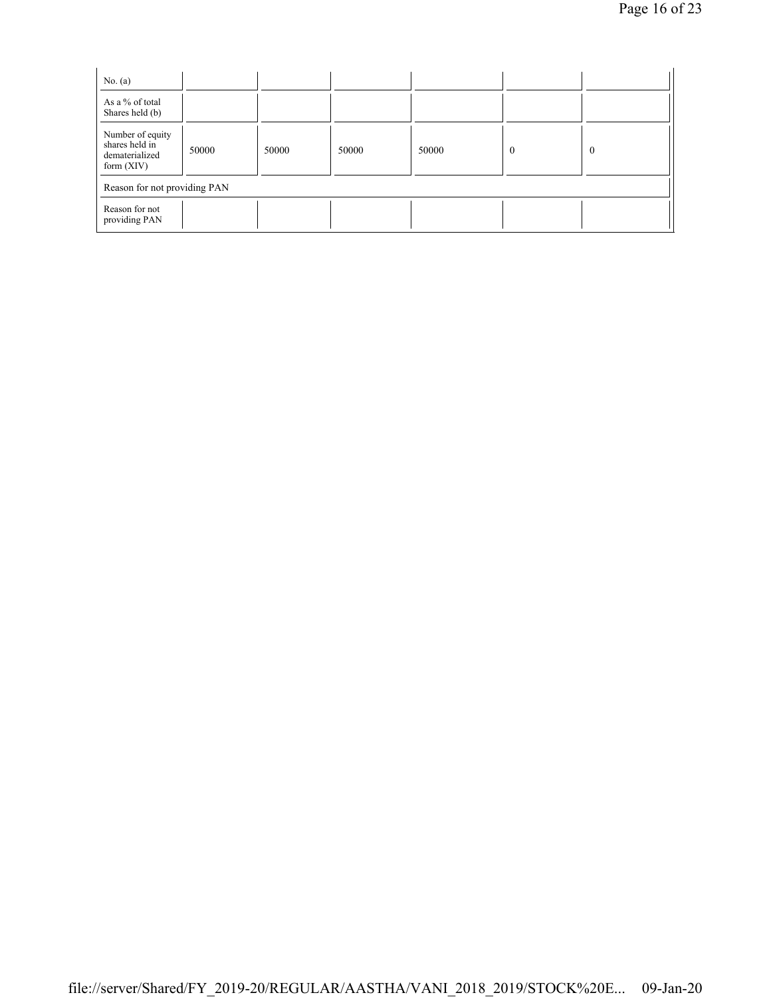| No. $(a)$                                                            |       |       |       |       |          |          |  |
|----------------------------------------------------------------------|-------|-------|-------|-------|----------|----------|--|
| As a % of total<br>Shares held (b)                                   |       |       |       |       |          |          |  |
| Number of equity<br>shares held in<br>dematerialized<br>form $(XIV)$ | 50000 | 50000 | 50000 | 50000 | $\Omega$ | $\theta$ |  |
| Reason for not providing PAN                                         |       |       |       |       |          |          |  |
| Reason for not<br>providing PAN                                      |       |       |       |       |          |          |  |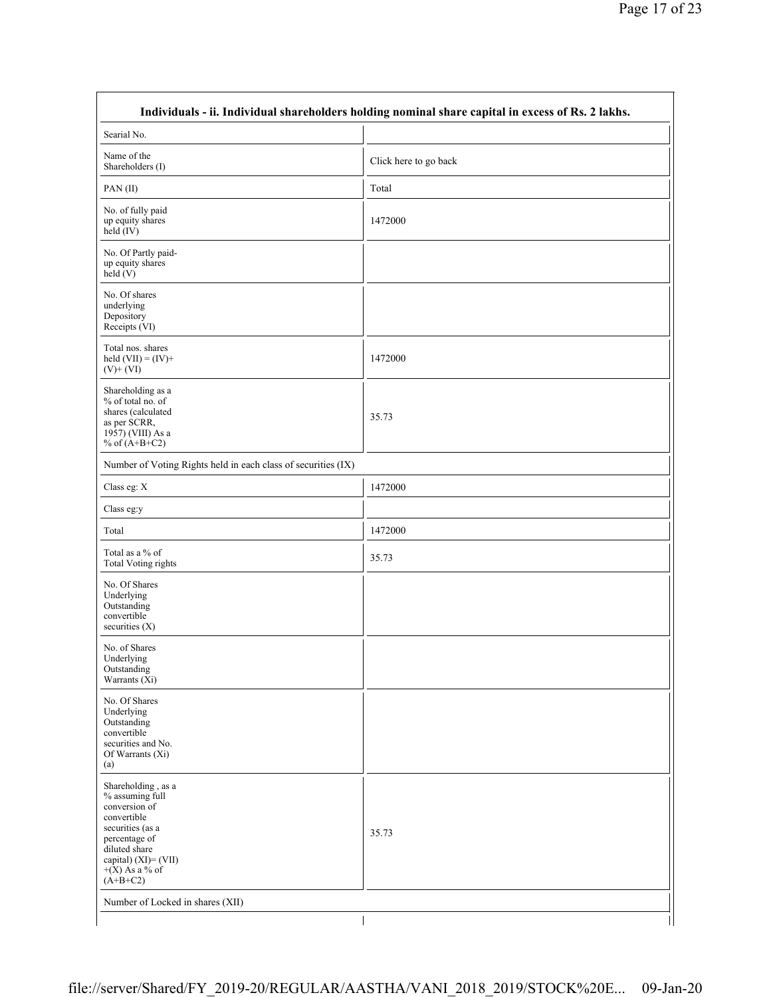|                                                                                                                                                                                       | Individuals - ii. Individual shareholders holding nominal share capital in excess of Rs. 2 lakhs. |
|---------------------------------------------------------------------------------------------------------------------------------------------------------------------------------------|---------------------------------------------------------------------------------------------------|
| Searial No.                                                                                                                                                                           |                                                                                                   |
| Name of the<br>Shareholders (I)                                                                                                                                                       | Click here to go back                                                                             |
| PAN(II)                                                                                                                                                                               | Total                                                                                             |
| No. of fully paid<br>up equity shares<br>held (IV)                                                                                                                                    | 1472000                                                                                           |
| No. Of Partly paid-<br>up equity shares<br>held (V)                                                                                                                                   |                                                                                                   |
| No. Of shares<br>underlying<br>Depository<br>Receipts (VI)                                                                                                                            |                                                                                                   |
| Total nos. shares<br>held $(VII) = (IV) +$<br>$(V)+(VI)$                                                                                                                              | 1472000                                                                                           |
| Shareholding as a<br>% of total no. of<br>shares (calculated<br>as per SCRR,<br>1957) (VIII) As a<br>% of $(A+B+C2)$                                                                  | 35.73                                                                                             |
| Number of Voting Rights held in each class of securities (IX)                                                                                                                         |                                                                                                   |
| Class eg: X                                                                                                                                                                           | 1472000                                                                                           |
| Class eg:y                                                                                                                                                                            |                                                                                                   |
| Total                                                                                                                                                                                 | 1472000                                                                                           |
| Total as a % of<br>Total Voting rights                                                                                                                                                | 35.73                                                                                             |
| No. Of Shares<br>Underlying<br>Outstanding<br>convertible<br>securities $(X)$                                                                                                         |                                                                                                   |
| No. of Shares<br>Underlying<br>Outstanding<br>Warrants $(X_i)$                                                                                                                        |                                                                                                   |
| No. Of Shares<br>Underlying<br>Outstanding<br>convertible<br>securities and No.<br>Of Warrants (Xi)<br>(a)                                                                            |                                                                                                   |
| Shareholding, as a<br>% assuming full<br>conversion of<br>convertible<br>securities (as a<br>percentage of<br>diluted share<br>capital) (XI)= (VII)<br>$+(X)$ As a % of<br>$(A+B+C2)$ | 35.73                                                                                             |
| Number of Locked in shares (XII)                                                                                                                                                      |                                                                                                   |
|                                                                                                                                                                                       |                                                                                                   |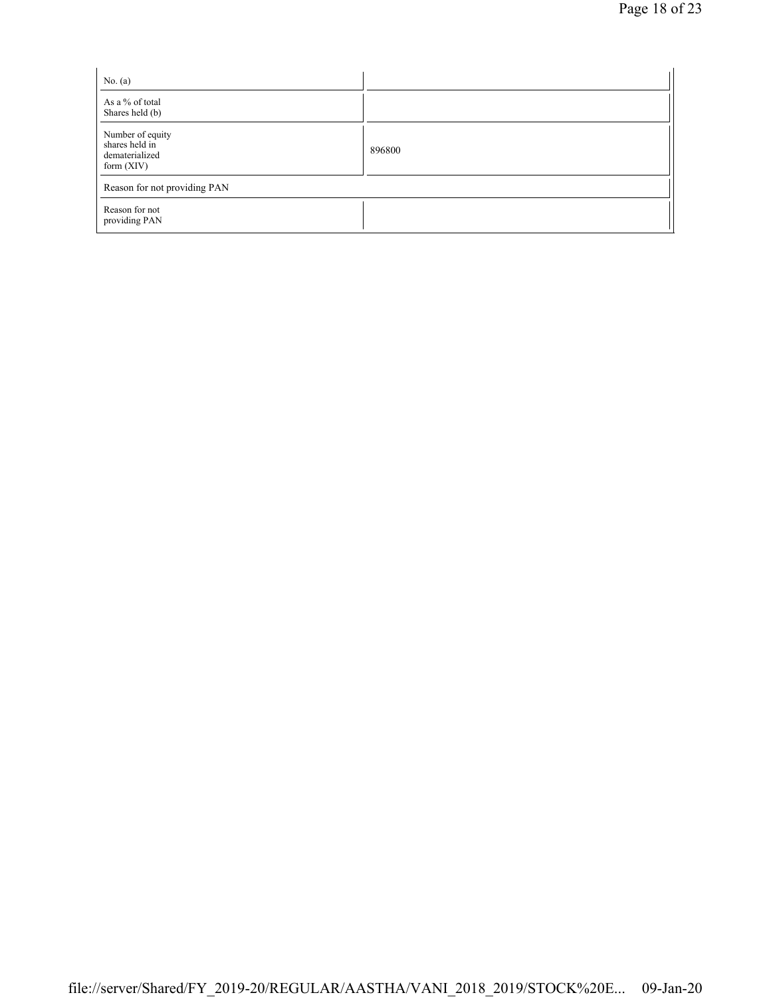| No. $(a)$                                                            |        |
|----------------------------------------------------------------------|--------|
| As a % of total<br>Shares held (b)                                   |        |
| Number of equity<br>shares held in<br>dematerialized<br>form $(XIV)$ | 896800 |
| Reason for not providing PAN                                         |        |
| Reason for not<br>providing PAN                                      |        |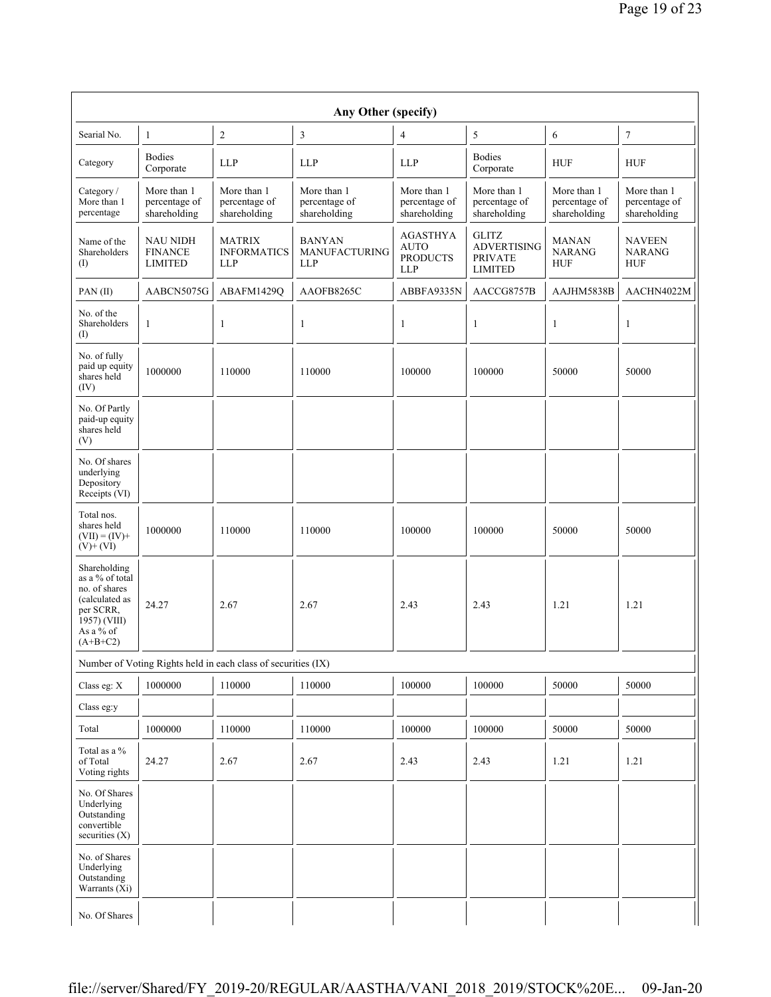|                                                                                                                            |                                                     |                                                               | Any Other (specify)                          |                                                                 |                                                                        |                                              |                                              |
|----------------------------------------------------------------------------------------------------------------------------|-----------------------------------------------------|---------------------------------------------------------------|----------------------------------------------|-----------------------------------------------------------------|------------------------------------------------------------------------|----------------------------------------------|----------------------------------------------|
| Searial No.                                                                                                                | $\mathbf{1}$                                        | 2                                                             | 3                                            | $\overline{4}$                                                  | 5                                                                      | 6                                            | 7                                            |
| Category                                                                                                                   | <b>Bodies</b><br>Corporate                          | <b>LLP</b>                                                    | <b>LLP</b>                                   | <b>LLP</b>                                                      | <b>Bodies</b><br>Corporate                                             | <b>HUF</b>                                   | <b>HUF</b>                                   |
| Category /<br>More than 1<br>percentage                                                                                    | More than 1<br>percentage of<br>shareholding        | More than 1<br>percentage of<br>shareholding                  | More than 1<br>percentage of<br>shareholding | More than 1<br>percentage of<br>shareholding                    | More than 1<br>percentage of<br>shareholding                           | More than 1<br>percentage of<br>shareholding | More than 1<br>percentage of<br>shareholding |
| Name of the<br>Shareholders<br>$($ I)                                                                                      | <b>NAU NIDH</b><br><b>FINANCE</b><br><b>LIMITED</b> | <b>MATRIX</b><br><b>INFORMATICS</b><br><b>LLP</b>             | <b>BANYAN</b><br>MANUFACTURING<br><b>LLP</b> | <b>AGASTHYA</b><br><b>AUTO</b><br><b>PRODUCTS</b><br><b>LLP</b> | <b>GLITZ</b><br><b>ADVERTISING</b><br><b>PRIVATE</b><br><b>LIMITED</b> | <b>MANAN</b><br><b>NARANG</b><br><b>HUF</b>  | <b>NAVEEN</b><br><b>NARANG</b><br><b>HUF</b> |
| $PAN$ (II)                                                                                                                 | AABCN5075G                                          | ABAFM1429Q                                                    | AAOFB8265C                                   | ABBFA9335N                                                      | AACCG8757B                                                             | AAJHM5838B                                   | AACHN4022M                                   |
| No. of the<br>Shareholders<br>$($ I                                                                                        | 1                                                   | 1                                                             | 1                                            | 1                                                               | 1                                                                      | $\mathbf{1}$                                 | 1                                            |
| No. of fully<br>paid up equity<br>shares held<br>(IV)                                                                      | 1000000                                             | 110000                                                        | 110000                                       | 100000                                                          | 100000                                                                 | 50000                                        | 50000                                        |
| No. Of Partly<br>paid-up equity<br>shares held<br>(V)                                                                      |                                                     |                                                               |                                              |                                                                 |                                                                        |                                              |                                              |
| No. Of shares<br>underlying<br>Depository<br>Receipts (VI)                                                                 |                                                     |                                                               |                                              |                                                                 |                                                                        |                                              |                                              |
| Total nos.<br>shares held<br>$(VII) = (IV) +$<br>$(V)$ + $(VI)$                                                            | 1000000                                             | 110000                                                        | 110000                                       | 100000                                                          | 100000                                                                 | 50000                                        | 50000                                        |
| Shareholding<br>as a % of total<br>no. of shares<br>(calculated as<br>per SCRR,<br>1957) (VIII)<br>As a % of<br>$(A+B+C2)$ | 24.27                                               | 2.67                                                          | 2.67                                         | 2.43                                                            | 2.43                                                                   | 1.21                                         | 1.21                                         |
|                                                                                                                            |                                                     | Number of Voting Rights held in each class of securities (IX) |                                              |                                                                 |                                                                        |                                              |                                              |
| Class eg: X                                                                                                                | 1000000                                             | 110000                                                        | 110000                                       | 100000                                                          | 100000                                                                 | 50000                                        | 50000                                        |
| Class eg:y                                                                                                                 |                                                     |                                                               |                                              |                                                                 |                                                                        |                                              |                                              |
| Total                                                                                                                      | 1000000                                             | 110000                                                        | 110000                                       | 100000                                                          | 100000                                                                 | 50000                                        | 50000                                        |
| Total as a %<br>of Total<br>Voting rights                                                                                  | 24.27                                               | 2.67                                                          | 2.67                                         | 2.43                                                            | 2.43                                                                   | 1.21                                         | 1.21                                         |
| No. Of Shares<br>Underlying<br>Outstanding<br>convertible<br>securities (X)                                                |                                                     |                                                               |                                              |                                                                 |                                                                        |                                              |                                              |
| No. of Shares<br>Underlying<br>Outstanding<br>Warrants $(X_i)$                                                             |                                                     |                                                               |                                              |                                                                 |                                                                        |                                              |                                              |
| No. Of Shares                                                                                                              |                                                     |                                                               |                                              |                                                                 |                                                                        |                                              |                                              |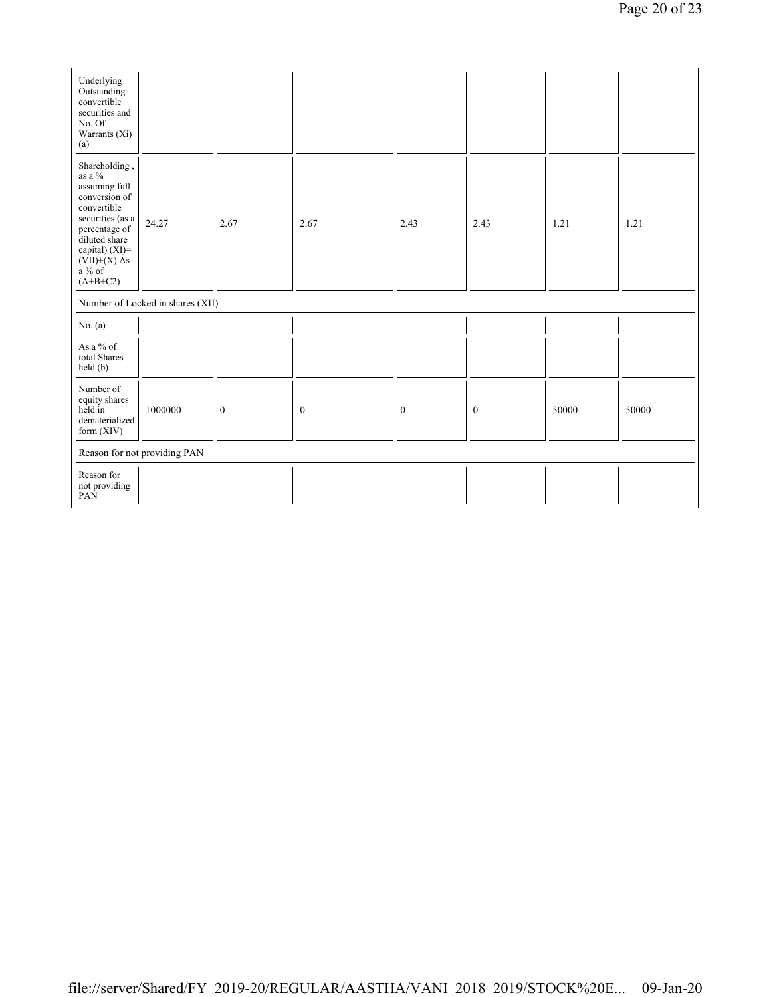| Underlying<br>Outstanding<br>convertible<br>securities and<br>No. Of<br>Warrants (Xi)<br>(a)                                                                                                    |                                  |                  |                  |                  |          |       |       |
|-------------------------------------------------------------------------------------------------------------------------------------------------------------------------------------------------|----------------------------------|------------------|------------------|------------------|----------|-------|-------|
| Shareholding,<br>as a $\%$<br>assuming full<br>conversion of<br>convertible<br>securities (as a<br>percentage of<br>diluted share<br>capital) (XI)=<br>$(VII)+(X)$ As<br>$a\%$ of<br>$(A+B+C2)$ | 24.27                            | 2.67             | 2.67             | 2.43             | 2.43     | 1.21  | 1.21  |
|                                                                                                                                                                                                 | Number of Locked in shares (XII) |                  |                  |                  |          |       |       |
| No. $(a)$                                                                                                                                                                                       |                                  |                  |                  |                  |          |       |       |
| As a % of<br>total Shares<br>held (b)                                                                                                                                                           |                                  |                  |                  |                  |          |       |       |
| Number of<br>equity shares<br>held in<br>dematerialized<br>form $(XIV)$                                                                                                                         | 1000000                          | $\boldsymbol{0}$ | $\boldsymbol{0}$ | $\boldsymbol{0}$ | $\bf{0}$ | 50000 | 50000 |
|                                                                                                                                                                                                 | Reason for not providing PAN     |                  |                  |                  |          |       |       |
| Reason for<br>not providing<br>PAN                                                                                                                                                              |                                  |                  |                  |                  |          |       |       |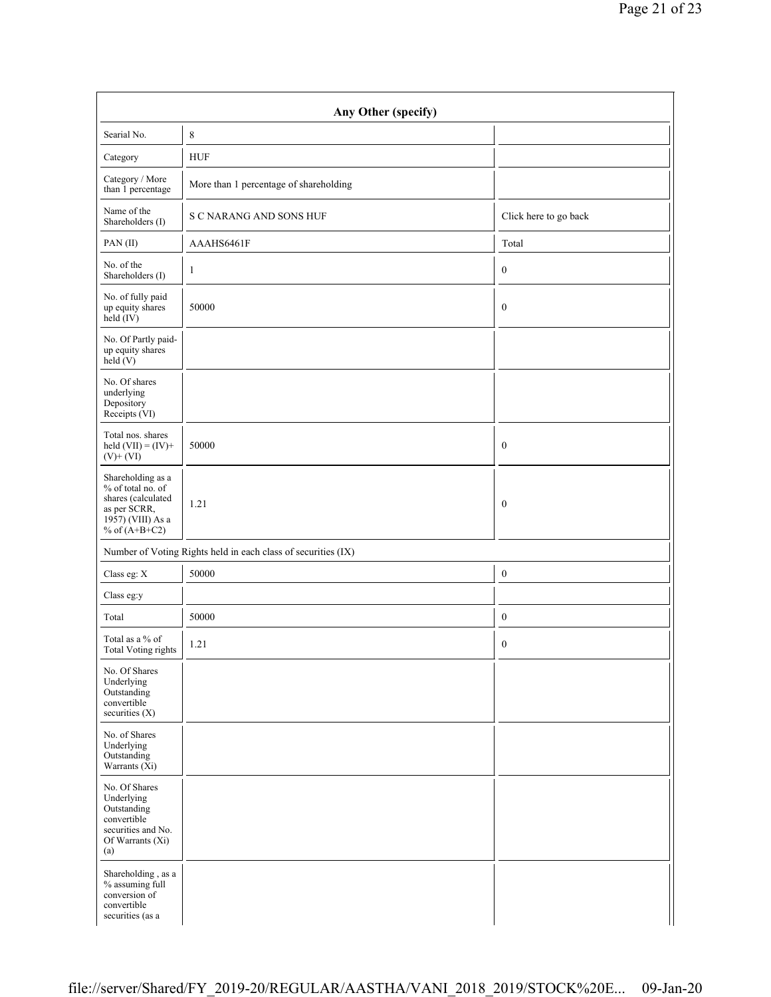|                                                                                                                      | Any Other (specify)                                           |                       |  |  |  |  |
|----------------------------------------------------------------------------------------------------------------------|---------------------------------------------------------------|-----------------------|--|--|--|--|
| Searial No.                                                                                                          | 8                                                             |                       |  |  |  |  |
| Category                                                                                                             | <b>HUF</b>                                                    |                       |  |  |  |  |
| Category / More<br>than 1 percentage                                                                                 | More than 1 percentage of shareholding                        |                       |  |  |  |  |
| Name of the<br>Shareholders (I)                                                                                      | <b>S C NARANG AND SONS HUF</b>                                | Click here to go back |  |  |  |  |
| PAN(II)                                                                                                              | AAAHS6461F                                                    | Total                 |  |  |  |  |
| No. of the<br>Shareholders (I)                                                                                       | 1                                                             | $\boldsymbol{0}$      |  |  |  |  |
| No. of fully paid<br>up equity shares<br>held (IV)                                                                   | 50000                                                         | $\boldsymbol{0}$      |  |  |  |  |
| No. Of Partly paid-<br>up equity shares<br>held (V)                                                                  |                                                               |                       |  |  |  |  |
| No. Of shares<br>underlying<br>Depository<br>Receipts (VI)                                                           |                                                               |                       |  |  |  |  |
| Total nos. shares<br>held $(VII) = (IV) +$<br>$(V)+(VI)$                                                             | 50000                                                         | $\boldsymbol{0}$      |  |  |  |  |
| Shareholding as a<br>% of total no. of<br>shares (calculated<br>as per SCRR,<br>1957) (VIII) As a<br>% of $(A+B+C2)$ | 1.21                                                          | $\mathbf{0}$          |  |  |  |  |
|                                                                                                                      | Number of Voting Rights held in each class of securities (IX) |                       |  |  |  |  |
| Class eg: X                                                                                                          | 50000                                                         | $\boldsymbol{0}$      |  |  |  |  |
| Class eg:y                                                                                                           |                                                               |                       |  |  |  |  |
| Total                                                                                                                | 50000                                                         | $\boldsymbol{0}$      |  |  |  |  |
| Total as a % of<br><b>Total Voting rights</b>                                                                        | 1.21                                                          | $\boldsymbol{0}$      |  |  |  |  |
| No. Of Shares<br>Underlying<br>Outstanding<br>convertible<br>securities (X)                                          |                                                               |                       |  |  |  |  |
| No. of Shares<br>Underlying<br>Outstanding<br>Warrants $(X_i)$                                                       |                                                               |                       |  |  |  |  |
| No. Of Shares<br>Underlying<br>Outstanding<br>convertible<br>securities and No.<br>Of Warrants (Xi)<br>(a)           |                                                               |                       |  |  |  |  |
| Shareholding, as a<br>% assuming full<br>conversion of<br>convertible<br>securities (as a                            |                                                               |                       |  |  |  |  |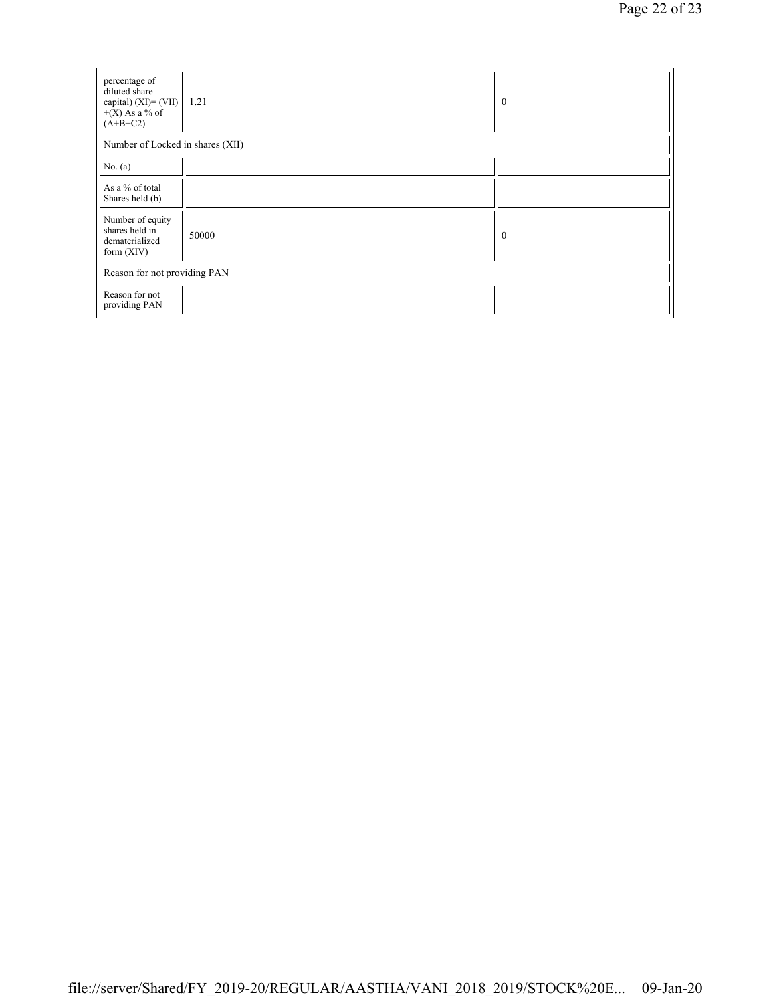| percentage of<br>diluted share<br>capital) (XI)= (VII)<br>$+(X)$ As a % of<br>$(A+B+C2)$ | 1.21  | $\overline{0}$ |
|------------------------------------------------------------------------------------------|-------|----------------|
| Number of Locked in shares (XII)                                                         |       |                |
| No. $(a)$                                                                                |       |                |
| As a % of total<br>Shares held (b)                                                       |       |                |
| Number of equity<br>shares held in<br>dematerialized<br>form $(XIV)$                     | 50000 | $\overline{0}$ |
| Reason for not providing PAN                                                             |       |                |
| Reason for not<br>providing PAN                                                          |       |                |